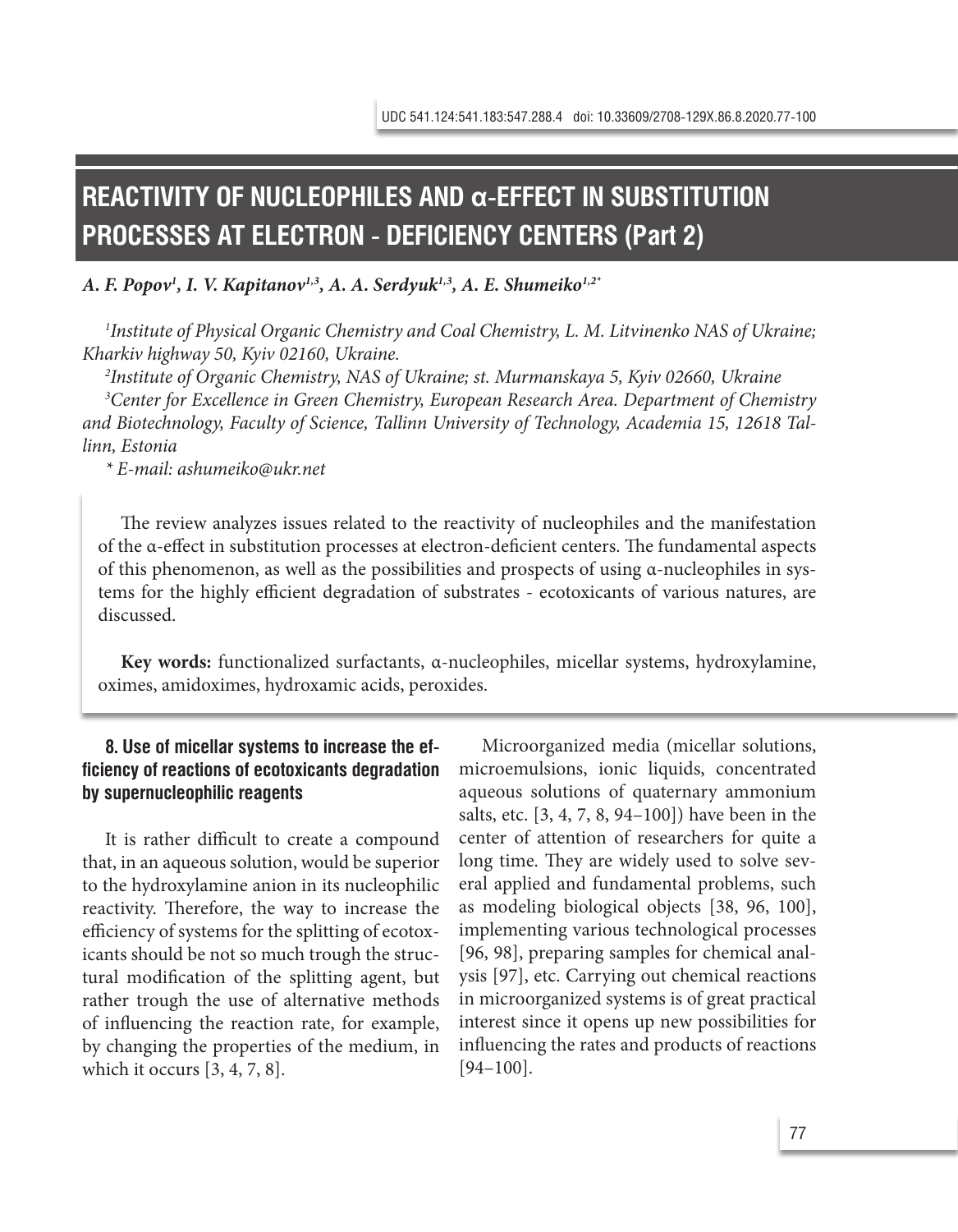# **REACTIVITY OF NUCLEOPHILES AND α-EFFECT IN SUBSTITUTION PROCESSES AT ELECTRON - DEFICIENCY CENTERS (Part 2)**

#### *A. F. Popov1 , I. V. Kapitanov1,3, A. A. Serdyuk1,3, A. E. Shumeiko1,2\**

*1 Institute of Physical Organic Chemistry and Coal Chemistry, L. M. Litvinenko NAS of Ukraine; Kharkiv highway 50, Kyiv 02160, Ukraine.*

*2 Institute of Organic Chemistry, NAS of Ukraine; st. Murmanskaya 5, Kyiv 02660, Ukraine 3 Center for Excellence in Green Chemistry, European Research Area. Department of Chemistry and Biotechnology, Faculty of Science, Tallinn University of Technology, Academia 15, 12618 Tallinn, Estonia*

*\* E-mail: ashumeiko@ukr.net*

The review analyzes issues related to the reactivity of nucleophiles and the manifestation of the α-effect in substitution processes at electron-deficient centers. The fundamental aspects of this phenomenon, as well as the possibilities and prospects of using α-nucleophiles in systems for the highly efficient degradation of substrates - ecotoxicants of various natures, are discussed.

**Key words:** functionalized surfactants, α-nucleophiles, micellar systems, hydroxylamine, oximes, amidoximes, hydroxamic acids, peroxides.

# **8. Use of micellar systems to increase the efficiency of reactions of ecotoxicants degradation by supernucleophilic reagents**

It is rather difficult to create a compound that, in an aqueous solution, would be superior to the hydroxylamine anion in its nucleophilic reactivity. Therefore, the way to increase the efficiency of systems for the splitting of ecotoxicants should be not so much trough the structural modification of the splitting agent, but rather trough the use of alternative methods of influencing the reaction rate, for example, by changing the properties of the medium, in which it occurs [3, 4, 7, 8].

Microorganized media (micellar solutions, microemulsions, ionic liquids, concentrated aqueous solutions of quaternary ammonium salts, etc. [3, 4, 7, 8, 94–100]) have been in the center of attention of researchers for quite a long time. They are widely used to solve several applied and fundamental problems, such as modeling biological objects [38, 96, 100], implementing various technological processes [96, 98], preparing samples for chemical analysis [97], etc. Carrying out chemical reactions in microorganized systems is of great practical interest since it opens up new possibilities for influencing the rates and products of reactions [94–100].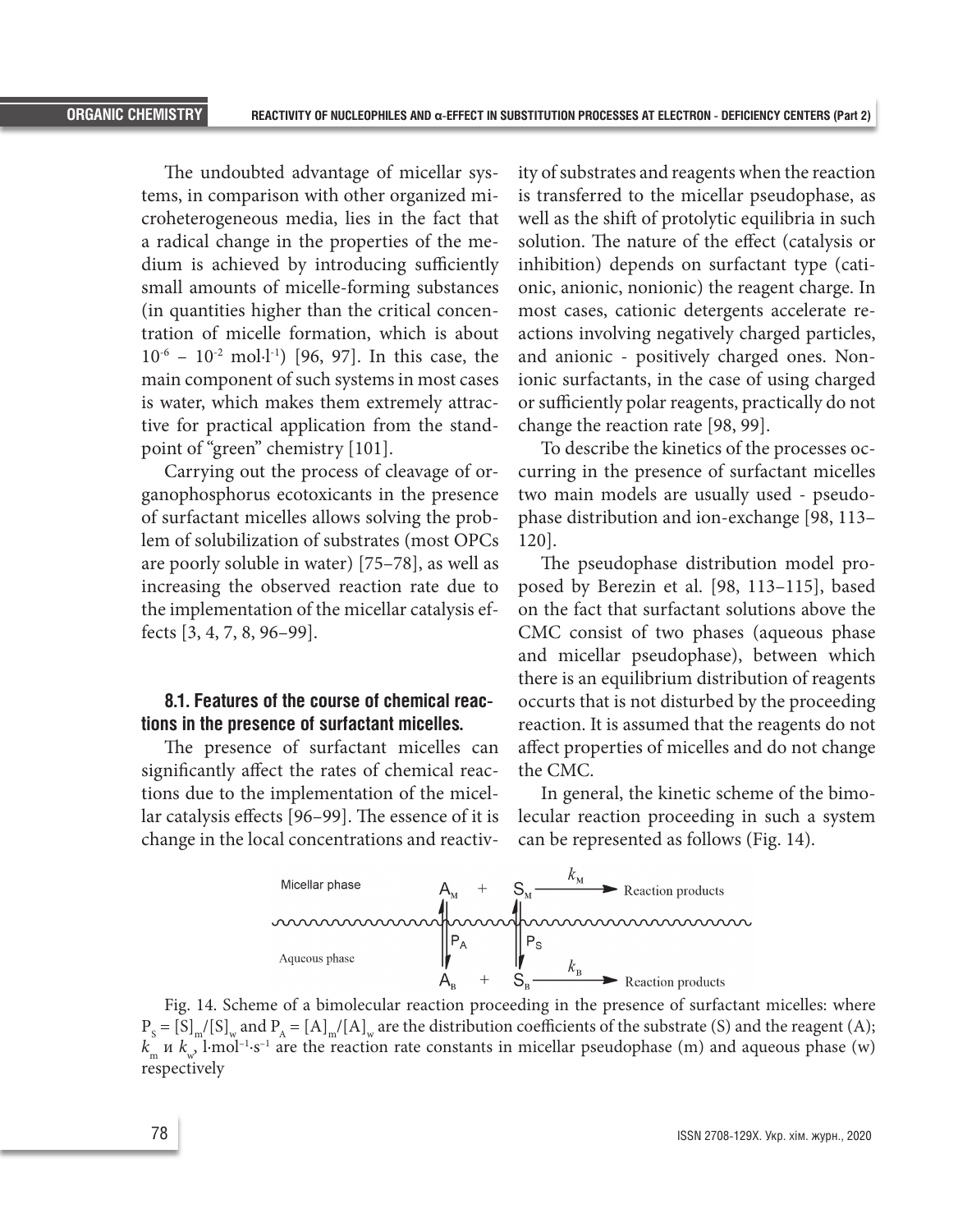The undoubted advantage of micellar systems, in comparison with other organized microheterogeneous media, lies in the fact that a radical change in the properties of the medium is achieved by introducing sufficiently small amounts of micelle-forming substances (in quantities higher than the critical concentration of micelle formation, which is about 10-6 – 10-2 mol∙l-1) [96, 97]. In this case, the main component of such systems in most cases is water, which makes them extremely attractive for practical application from the standpoint of "green" chemistry [101].

Carrying out the process of cleavage of organophosphorus ecotoxicants in the presence of surfactant micelles allows solving the problem of solubilization of substrates (most OPCs are poorly soluble in water) [75–78], as well as increasing the observed reaction rate due to the implementation of the micellar catalysis effects [3, 4, 7, 8, 96–99].

# **8.1. Features of the course of chemical reactions in the presence of surfactant micelles.**

The presence of surfactant micelles can significantly affect the rates of chemical reactions due to the implementation of the micellar catalysis effects [96–99]. The essence of it is change in the local concentrations and reactivity of substrates and reagents when the reaction is transferred to the micellar pseudophase, as well as the shift of protolytic equilibria in such solution. The nature of the effect (catalysis or inhibition) depends on surfactant type (cationic, anionic, nonionic) the reagent charge. In most cases, cationic detergents accelerate reactions involving negatively charged particles, and anionic - positively charged ones. Nonionic surfactants, in the case of using charged or sufficiently polar reagents, practically do not change the reaction rate [98, 99].

To describe the kinetics of the processes occurring in the presence of surfactant micelles two main models are usually used - pseudophase distribution and ion-exchange [98, 113– 120].

The pseudophase distribution model proposed by Berezin et al. [98, 113–115], based on the fact that surfactant solutions above the CMC consist of two phases (aqueous phase and micellar pseudophase), between which there is an equilibrium distribution of reagents occurts that is not disturbed by the proceeding reaction. It is assumed that the reagents do not affect properties of micelles and do not change the CMC.

In general, the kinetic scheme of the bimolecular reaction proceeding in such a system can be represented as follows (Fig. 14).



Fig. 14. Scheme of a bimolecular reaction proceeding in the presence of surfactant micelles: where  $P_s = [S]_m/[S]_w$  and  $P_A = [A]_m/[A]_w$  are the distribution coefficients of the substrate (S) and the reagent (A);  $k_{m}$  *k*<sub>w</sub>, l·mol<sup>-1</sup>·s<sup>-1</sup> are the reaction rate constants in micellar pseudophase (m) and aqueous phase (w) respectively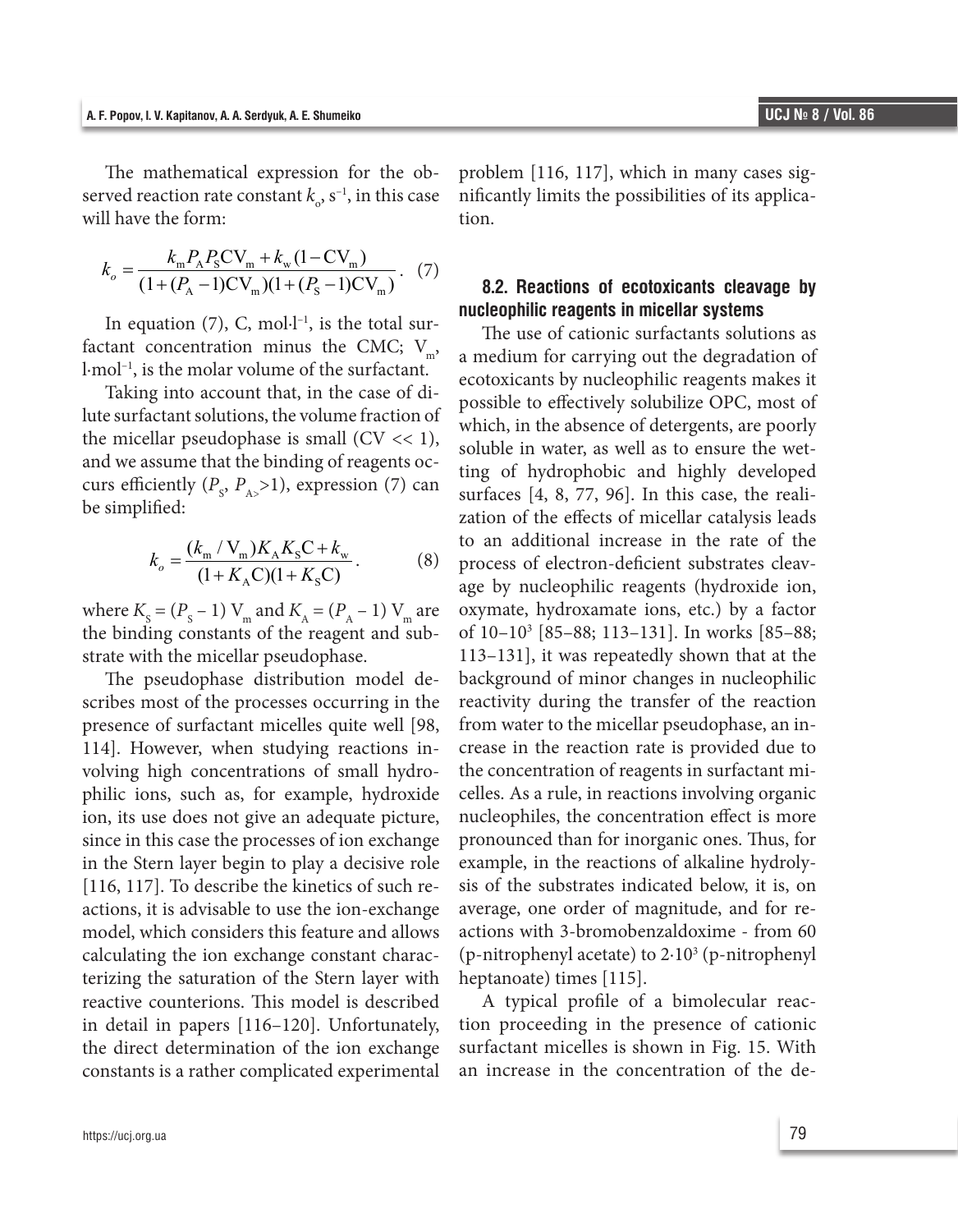The mathematical expression for the observed reaction rate constant  $k_{\circ}$ ,  $s^{-1}$ , in this case will have the form:

$$
k_o = \frac{k_{\rm m} P_{\rm A} P_{\rm S} C V_{\rm m} + k_{\rm w} (1 - C V_{\rm m})}{(1 + (P_{\rm A} - 1) C V_{\rm m}) (1 + (P_{\rm S} - 1) C V_{\rm m})}.
$$
 (7)

In equation  $(7)$ , C, mol $\cdot$ l $\cdot$ <sup>1</sup>, is the total surfactant concentration minus the CMC;  $V_m$ , l·mol–1, is the molar volume of the surfactant.

Taking into account that, in the case of dilute surfactant solutions, the volume fraction of the micellar pseudophase is small  $(CV \ll 1)$ , and we assume that the binding of reagents occurs efficiently  $(P_s, P_{A>}>1)$ , expression (7) can be simplified:

$$
k_o = \frac{(k_{\rm m} / V_{\rm m}) K_{\rm A} K_{\rm S} C + k_{\rm w}}{(1 + K_{\rm A} C)(1 + K_{\rm S} C)}.
$$
 (8)

where  $K_{\rm s} = (P_{\rm s} - 1)$  V<sub>m</sub> and  $K_{\rm A} = (P_{\rm A} - 1)$  V<sub>m</sub> are the binding constants of the reagent and substrate with the micellar pseudophase.

The pseudophase distribution model describes most of the processes occurring in the presence of surfactant micelles quite well [98, 114]. However, when studying reactions involving high concentrations of small hydrophilic ions, such as, for example, hydroxide ion, its use does not give an adequate picture, since in this case the processes of ion exchange in the Stern layer begin to play a decisive role [116, 117]. To describe the kinetics of such reactions, it is advisable to use the ion-exchange model, which considers this feature and allows calculating the ion exchange constant characterizing the saturation of the Stern layer with reactive counterions. This model is described in detail in papers [116–120]. Unfortunately, the direct determination of the ion exchange constants is a rather complicated experimental

problem [116, 117], which in many cases significantly limits the possibilities of its application.

# **8.2. Reactions of ecotoxicants cleavage by nucleophilic reagents in micellar systems**

The use of cationic surfactants solutions as a medium for carrying out the degradation of ecotoxicants by nucleophilic reagents makes it possible to effectively solubilize OPC, most of which, in the absence of detergents, are poorly soluble in water, as well as to ensure the wetting of hydrophobic and highly developed surfaces [4, 8, 77, 96]. In this case, the realization of the effects of micellar catalysis leads to an additional increase in the rate of the process of electron-deficient substrates cleavage by nucleophilic reagents (hydroxide ion, oxymate, hydroxamate ions, etc.) by a factor of 10–103 [85–88; 113–131]. In works [85–88; 113–131], it was repeatedly shown that at the background of minor changes in nucleophilic reactivity during the transfer of the reaction from water to the micellar pseudophase, an increase in the reaction rate is provided due to the concentration of reagents in surfactant micelles. As a rule, in reactions involving organic nucleophiles, the concentration effect is more pronounced than for inorganic ones. Thus, for example, in the reactions of alkaline hydrolysis of the substrates indicated below, it is, on average, one order of magnitude, and for reactions with 3-bromobenzaldoxime - from 60 (p-nitrophenyl acetate) to 2∙103 (p-nitrophenyl heptanoate) times [115].

A typical profile of a bimolecular reaction proceeding in the presence of cationic surfactant micelles is shown in Fig. 15. With an increase in the concentration of the de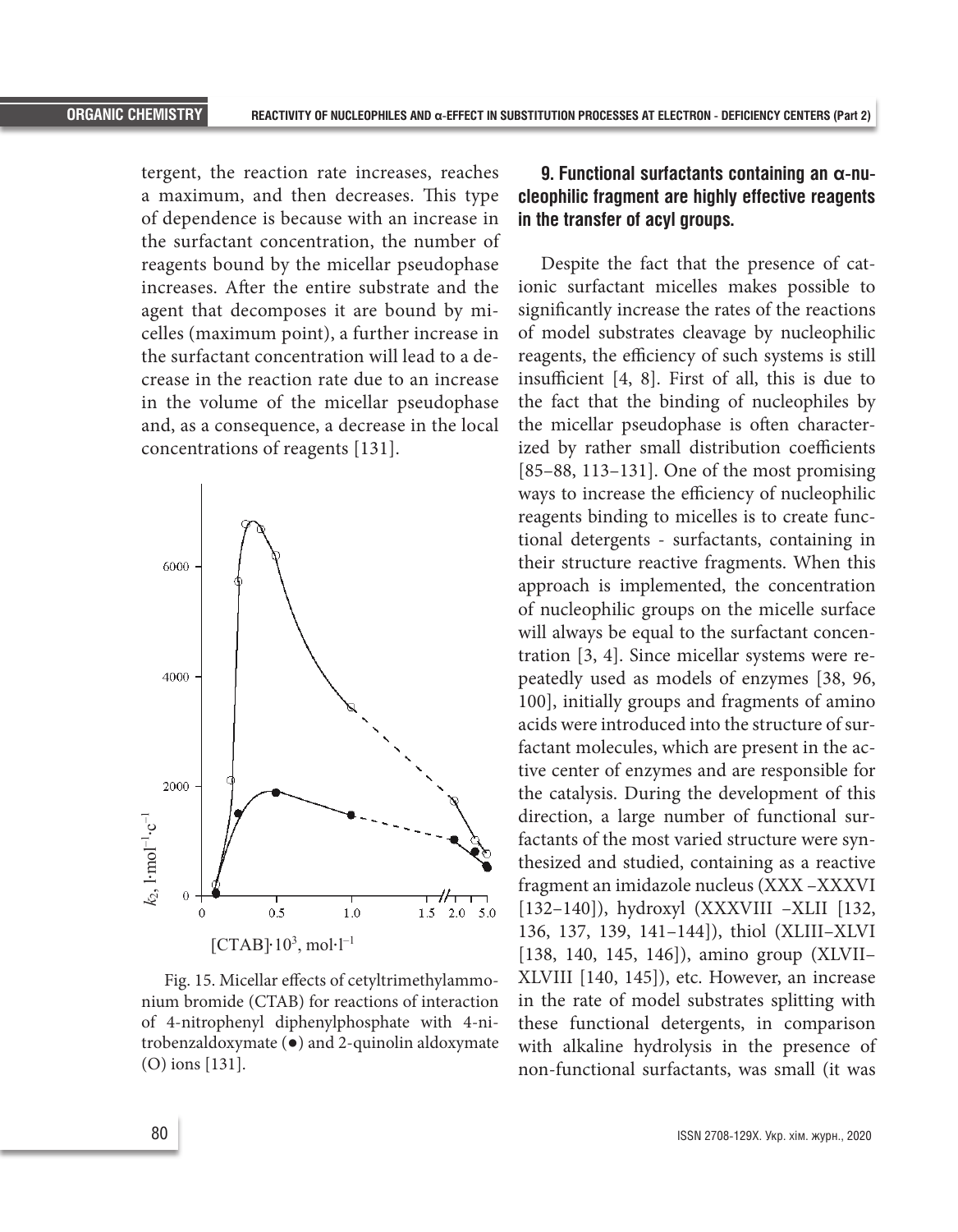tergent, the reaction rate increases, reaches a maximum, and then decreases. This type of dependence is because with an increase in the surfactant concentration, the number of reagents bound by the micellar pseudophase increases. After the entire substrate and the agent that decomposes it are bound by micelles (maximum point), a further increase in the surfactant concentration will lead to a decrease in the reaction rate due to an increase in the volume of the micellar pseudophase and, as a consequence, a decrease in the local concentrations of reagents [131].



Fig. 15. Micellar effects of cetyltrimethylammonium bromide (CTAB) for reactions of interaction of 4-nitrophenyl diphenylphosphate with 4-nitrobenzaldoxymate (●) and 2-quinolin aldoxymate (O) ions [131].

# **9. Functional surfactants containing an α-nucleophilic fragment are highly effective reagents in the transfer of acyl groups.**

Despite the fact that the presence of cationic surfactant micelles makes possible to significantly increase the rates of the reactions of model substrates cleavage by nucleophilic reagents, the efficiency of such systems is still insufficient [4, 8]. First of all, this is due to the fact that the binding of nucleophiles by the micellar pseudophase is often characterized by rather small distribution coefficients [85–88, 113–131]. One of the most promising ways to increase the efficiency of nucleophilic reagents binding to micelles is to create functional detergents - surfactants, containing in their structure reactive fragments. When this approach is implemented, the concentration of nucleophilic groups on the micelle surface will always be equal to the surfactant concentration [3, 4]. Since micellar systems were repeatedly used as models of enzymes [38, 96, 100], initially groups and fragments of amino acids were introduced into the structure of surfactant molecules, which are present in the active center of enzymes and are responsible for the catalysis. During the development of this direction, a large number of functional surfactants of the most varied structure were synthesized and studied, containing as a reactive fragment an imidazole nucleus (XXX –XXXVI [132–140]), hydroxyl (XXXVIII –XLII [132, 136, 137, 139, 141–144]), thiol (XLIII–XLVI [138, 140, 145, 146]), amino group (XLVII– XLVIII [140, 145]), etc. However, an increase in the rate of model substrates splitting with these functional detergents, in comparison with alkaline hydrolysis in the presence of non-functional surfactants, was small (it was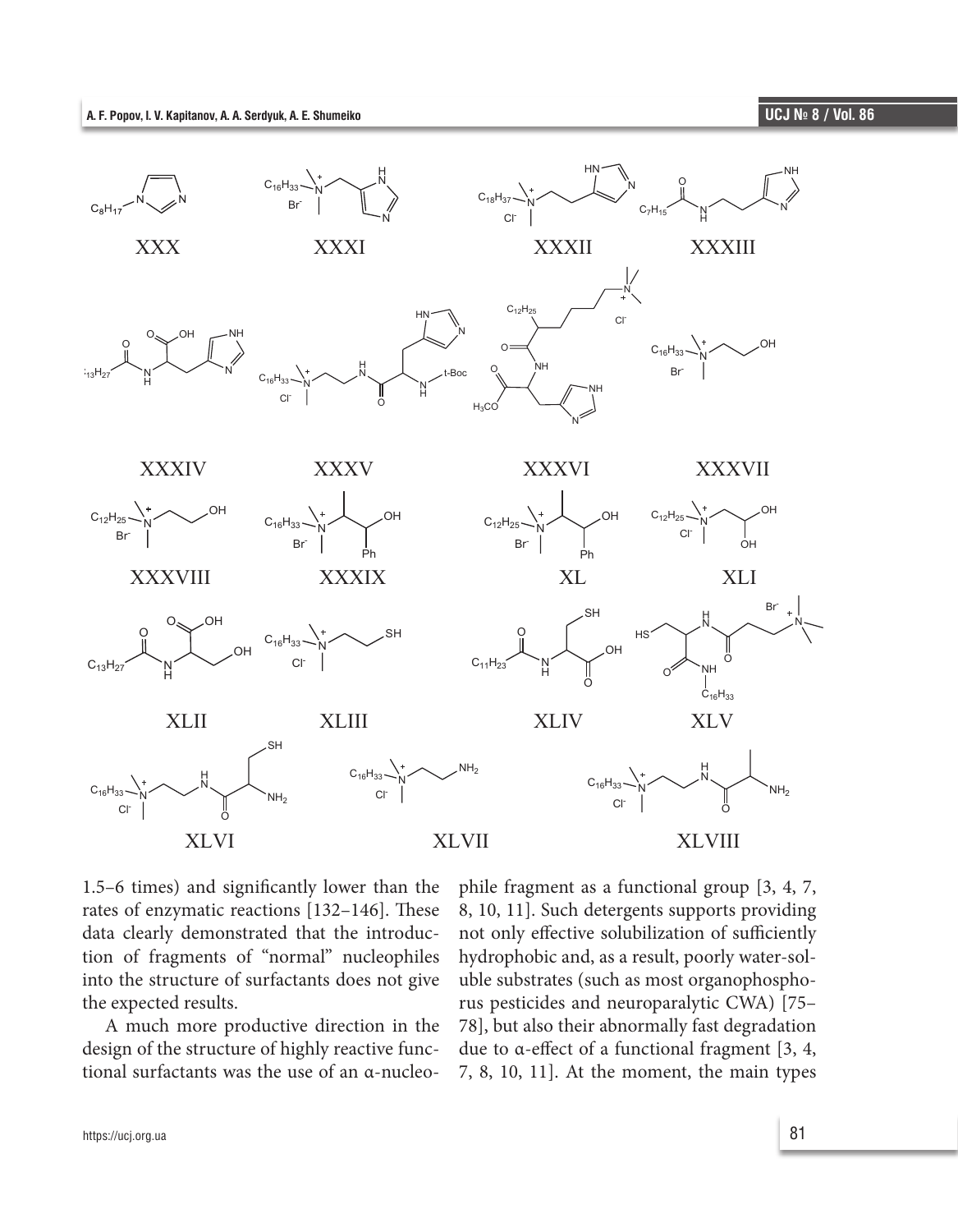

1.5–6 times) and significantly lower than the rates of enzymatic reactions [132–146]. These data clearly demonstrated that the introduction of fragments of "normal" nucleophiles into the structure of surfactants does not give the expected results.

A much more productive direction in the design of the structure of highly reactive functional surfactants was the use of an α-nucleophile fragment as a functional group [3, 4, 7, 8, 10, 11]. Such detergents supports providing not only effective solubilization of sufficiently hydrophobic and, as a result, poorly water-soluble substrates (such as most organophosphorus pesticides and neuroparalytic CWA) [75– 78], but also their abnormally fast degradation due to α-effect of a functional fragment [3, 4, 7, 8, 10, 11]. At the moment, the main types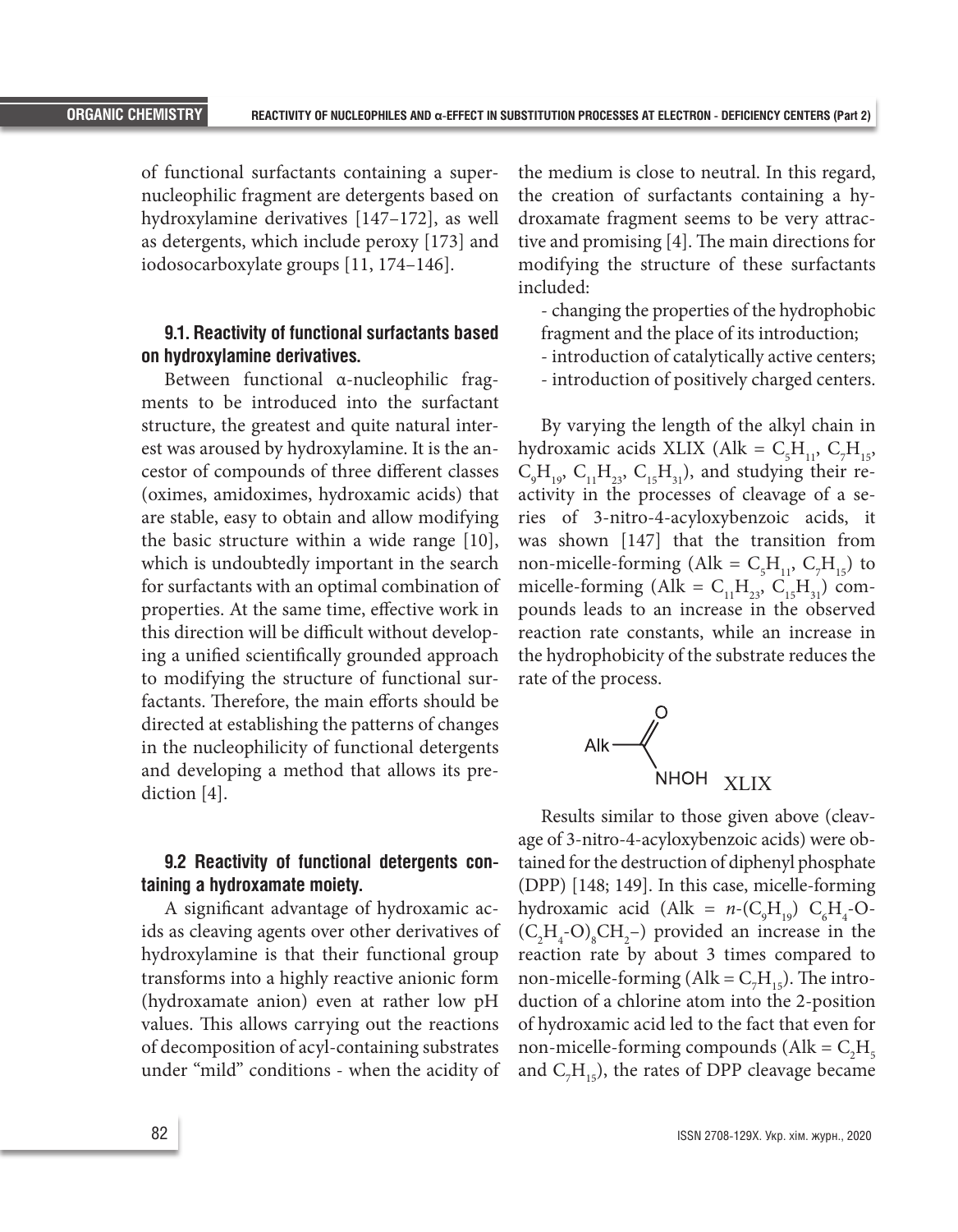of functional surfactants containing a supernucleophilic fragment are detergents based on hydroxylamine derivatives [147–172], as well as detergents, which include peroxy [173] and iodosocarboxylate groups [11, 174–146].

# **9.1. Reactivity of functional surfactants based on hydroxylamine derivatives.**

Between functional α-nucleophilic fragments to be introduced into the surfactant structure, the greatest and quite natural interest was aroused by hydroxylamine. It is the ancestor of compounds of three different classes (oximes, amidoximes, hydroxamic acids) that are stable, easy to obtain and allow modifying the basic structure within a wide range [10], which is undoubtedly important in the search for surfactants with an optimal combination of properties. At the same time, effective work in this direction will be difficult without developing a unified scientifically grounded approach to modifying the structure of functional surfactants. Therefore, the main efforts should be directed at establishing the patterns of changes in the nucleophilicity of functional detergents and developing a method that allows its prediction [4].

### **9.2 Reactivity of functional detergents containing a hydroxamate moiety.**

A significant advantage of hydroxamic acids as cleaving agents over other derivatives of hydroxylamine is that their functional group transforms into a highly reactive anionic form (hydroxamate anion) even at rather low pH values. This allows carrying out the reactions of decomposition of acyl-containing substrates under "mild" conditions - when the acidity of the medium is close to neutral. In this regard, the creation of surfactants containing a hydroxamate fragment seems to be very attractive and promising [4]. The main directions for modifying the structure of these surfactants included:

- changing the properties of the hydrophobic
- fragment and the place of its introduction;
- introduction of catalytically active centers;
- introduction of positively charged centers.

By varying the length of the alkyl chain in hydroxamic acids XLIX (Alk =  $C_5H_{11}$ ,  $C_7H_{15}$ ,  $C_9H_{19}$ ,  $C_{11}H_{23}$ ,  $C_{15}H_{31}$ ), and studying their reactivity in the processes of cleavage of a series of 3-nitro-4-acyloxybenzoic acids, it was shown [147] that the transition from non-micelle-forming (Alk =  $C_5H_{11}$ ,  $C_7H_{15}$ ) to micelle-forming (Alk =  $C_{11}H_{23}$ ,  $C_{15}H_{31}$ ) compounds leads to an increase in the observed reaction rate constants, while an increase in the hydrophobicity of the substrate reduces the rate of the process.



Results similar to those given above (cleavage of 3-nitro-4-acyloxybenzoic acids) were obtained for the destruction of diphenyl phosphate (DPP) [148; 149]. In this case, micelle-forming hydroxamic acid (Alk =  $n$ -(C<sub>9</sub>H<sub>19</sub>) C<sub>6</sub>H<sub>4</sub>-O- $(C_2H_4$ -O)<sub>8</sub>CH<sub>2</sub>-) provided an increase in the reaction rate by about 3 times compared to non-micelle-forming (Alk =  $C_7H_{15}$ ). The introduction of a chlorine atom into the 2-position of hydroxamic acid led to the fact that even for non-micelle-forming compounds ( $\text{Alk} = \text{C}_2 \text{H}_5$ and  $C_7H_{15}$ ), the rates of DPP cleavage became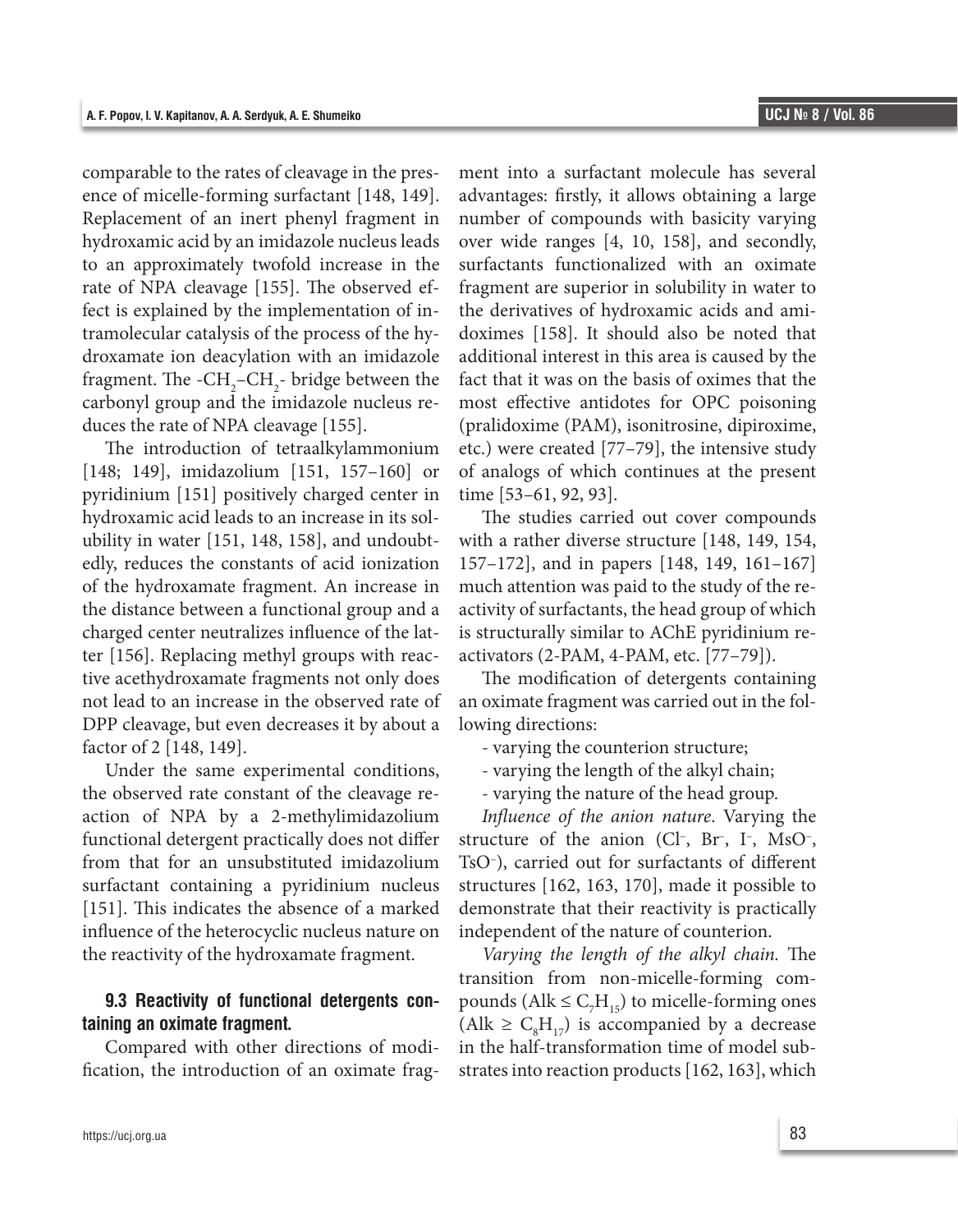comparable to the rates of cleavage in the presence of micelle-forming surfactant [148, 149]. Replacement of an inert phenyl fragment in hydroxamic acid by an imidazole nucleus leads to an approximately twofold increase in the rate of NPA cleavage [155]. The observed effect is explained by the implementation of intramolecular catalysis of the process of the hydroxamate ion deacylation with an imidazole fragment. The  $-CH_2-CH_2$ - bridge between the carbonyl group and the imidazole nucleus reduces the rate of NPA cleavage [155].

The introduction of tetraalkylammonium [148; 149], imidazolium [151, 157–160] or pyridinium [151] positively charged center in hydroxamic acid leads to an increase in its solubility in water [151, 148, 158], and undoubtedly, reduces the constants of acid ionization of the hydroxamate fragment. An increase in the distance between a functional group and a charged center neutralizes influence of the latter [156]. Replacing methyl groups with reactive acethydroxamate fragments not only does not lead to an increase in the observed rate of DPP cleavage, but even decreases it by about a factor of 2 [148, 149].

Under the same experimental conditions, the observed rate constant of the cleavage reaction of NPA by a 2-methylimidazolium functional detergent practically does not differ from that for an unsubstituted imidazolium surfactant containing a pyridinium nucleus [151]. This indicates the absence of a marked influence of the heterocyclic nucleus nature on the reactivity of the hydroxamate fragment.

#### **9.3 Reactivity of functional detergents containing an oximate fragment.**

Compared with other directions of modification, the introduction of an oximate fragment into a surfactant molecule has several advantages: firstly, it allows obtaining a large number of compounds with basicity varying over wide ranges [4, 10, 158], and secondly, surfactants functionalized with an oximate fragment are superior in solubility in water to the derivatives of hydroxamic acids and amidoximes [158]. It should also be noted that additional interest in this area is caused by the fact that it was on the basis of oximes that the most effective antidotes for OPC poisoning (pralidoxime (PAM), isonitrosine, dipiroxime, etc.) were created [77–79], the intensive study of analogs of which continues at the present time [53–61, 92, 93].

The studies carried out cover compounds with a rather diverse structure [148, 149, 154, 157–172], and in papers [148, 149, 161–167] much attention was paid to the study of the reactivity of surfactants, the head group of which is structurally similar to AChE pyridinium reactivators (2-PAM, 4-PAM, etc. [77–79]).

The modification of detergents containing an oximate fragment was carried out in the following directions:

- varying the counterion structure;

- varying the length of the alkyl chain;

- varying the nature of the head group.

*Influence of the anion nature*. Varying the structure of the anion  $(Cl^-, Br^-, I^-, MSO^-,$ TsO– ), carried out for surfactants of different structures [162, 163, 170], made it possible to demonstrate that their reactivity is practically independent of the nature of counterion.

*Varying the length of the alkyl chain.* The transition from non-micelle-forming compounds ( $\text{Alk} \leq \text{C}_7 \text{H}_{15}$ ) to micelle-forming ones (Alk  $\geq C_{8}H_{17}$ ) is accompanied by a decrease in the half-transformation time of model substrates into reaction products [162, 163], which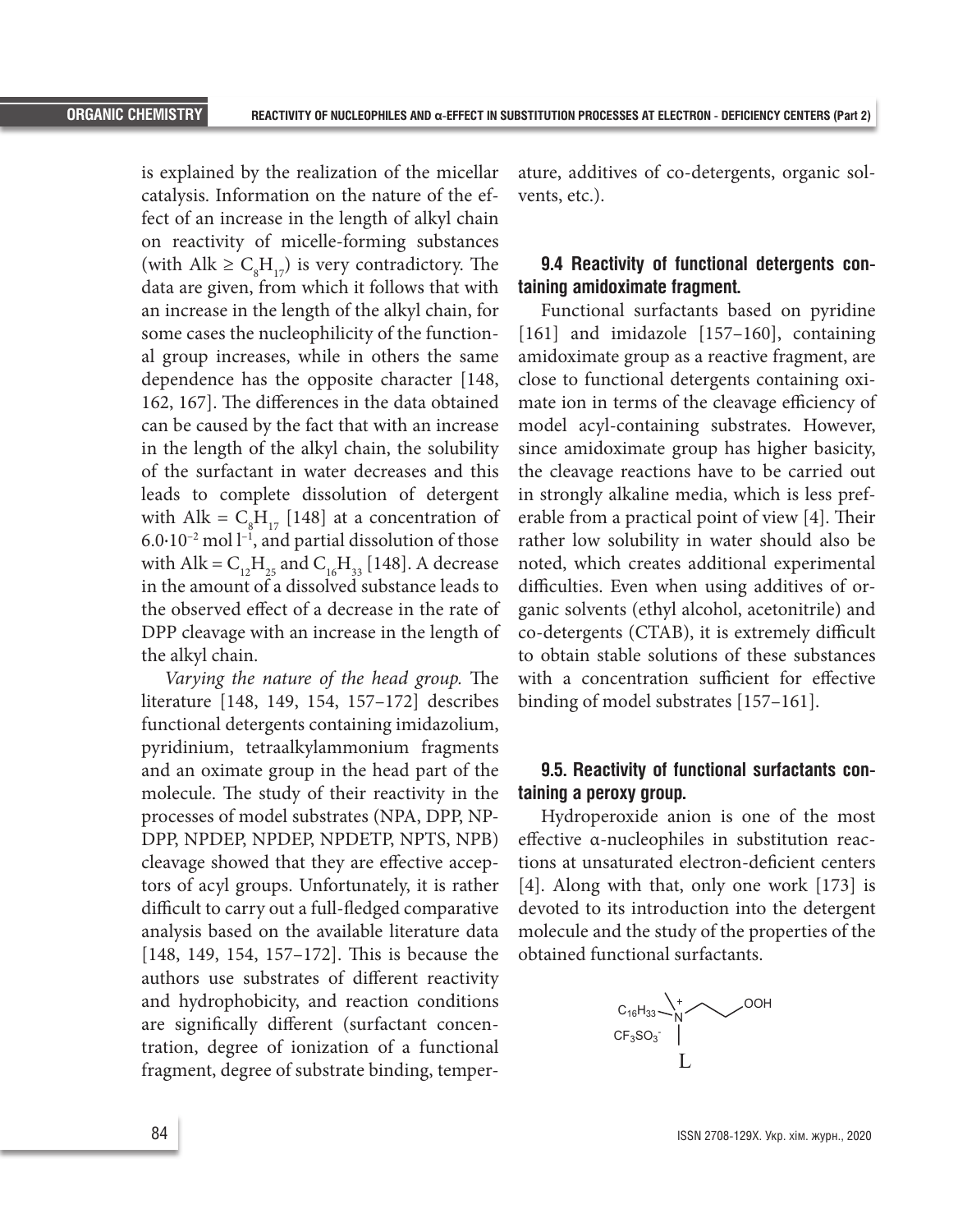is explained by the realization of the micellar catalysis. Information on the nature of the effect of an increase in the length of alkyl chain on reactivity of micelle-forming substances (with Alk  $\geq C_{8}H_{17}$ ) is very contradictory. The data are given, from which it follows that with an increase in the length of the alkyl chain, for some cases the nucleophilicity of the functional group increases, while in others the same dependence has the opposite character [148, 162, 167]. The differences in the data obtained can be caused by the fact that with an increase in the length of the alkyl chain, the solubility of the surfactant in water decreases and this leads to complete dissolution of detergent with Alk =  $C_8H_{17}$  [148] at a concentration of  $6.0 \cdot 10^{-2}$  mol  $l^{-1}$ , and partial dissolution of those with Alk =  $C_{12}H_{25}$  and  $C_{16}H_{33}$  [148]. A decrease in the amount of a dissolved substance leads to the observed effect of a decrease in the rate of DPP cleavage with an increase in the length of the alkyl chain.

*Varying the nature of the head group.* The literature [148, 149, 154, 157–172] describes functional detergents containing imidazolium, pyridinium, tetraalkylammonium fragments and an oximate group in the head part of the molecule. The study of their reactivity in the processes of model substrates (NPA, DPP, NP-DPP, NPDEP, NPDEP, NPDETP, NPTS, NPB) cleavage showed that they are effective acceptors of acyl groups. Unfortunately, it is rather difficult to carry out a full-fledged comparative analysis based on the available literature data [148, 149, 154, 157–172]. This is because the authors use substrates of different reactivity and hydrophobicity, and reaction conditions are significally different (surfactant concentration, degree of ionization of a functional fragment, degree of substrate binding, temper- L

ature, additives of co-detergents, organic solvents, etc.).

### **9.4 Reactivity of functional detergents containing amidoximate fragment.**

Functional surfactants based on pyridine [161] and imidazole [157–160], containing amidoximate group as a reactive fragment, are close to functional detergents containing oximate ion in terms of the cleavage efficiency of model acyl-containing substrates. However, since amidoximate group has higher basicity, the cleavage reactions have to be carried out in strongly alkaline media, which is less preferable from a practical point of view [4]. Their rather low solubility in water should also be noted, which creates additional experimental difficulties. Even when using additives of organic solvents (ethyl alcohol, acetonitrile) and co-detergents (CTAB), it is extremely difficult to obtain stable solutions of these substances with a concentration sufficient for effective binding of model substrates [157–161].

#### **9.5. Reactivity of functional surfactants containing a peroxy group.**

Hydroperoxide anion is one of the most effective α-nucleophiles in substitution reactions at unsaturated electron-deficient centers [4]. Along with that, only one work [173] is devoted to its introduction into the detergent molecule and the study of the properties of the obtained functional surfactants.

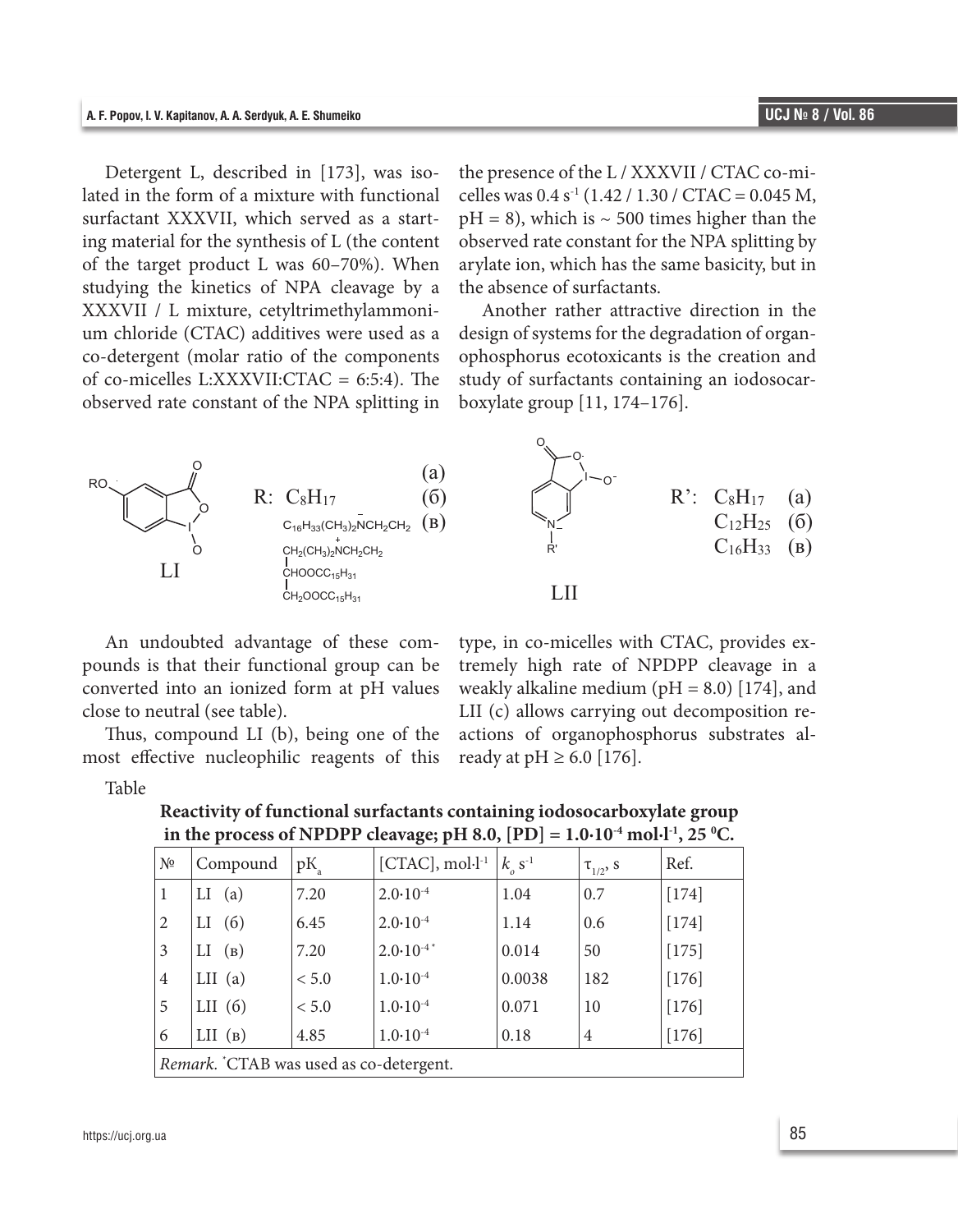Detergent L, described in [173], was isolated in the form of a mixture with functional surfactant XXXVII, which served as a starting material for the synthesis of L (the content of the target product L was 60–70%). When studying the kinetics of NPA cleavage by a XXXVII / L mixture, cetyltrimethylammonium chloride (CTAC) additives were used as a co-detergent (molar ratio of the components of co-micelles L:XXXVII:CTAC = 6:5:4). The observed rate constant of the NPA splitting in

the presence of the L / XXXVII / CTAC co-micelles was  $0.4 s^{-1}$  (1.42 / 1.30 / CTAC = 0.045 M,  $pH = 8$ ), which is  $\sim 500$  times higher than the observed rate constant for the NPA splitting by arylate ion, which has the same basicity, but in the absence of surfactants.

Another rather attractive direction in the design of systems for the degradation of organophosphorus ecotoxicants is the creation and study of surfactants containing an iodosocarboxylate group [11, 174–176].



An undoubted advantage of these compounds is that their functional group can be converted into an ionized form at pH values close to neutral (see table).

Thus, compound LI (b), being one of the most effective nucleophilic reagents of this

type, in co-micelles with CTAC, provides extremely high rate of NPDPP cleavage in a weakly alkaline medium ( $pH = 8.0$ ) [174], and LII (c) allows carrying out decomposition reactions of organophosphorus substrates already at  $pH \ge 6.0$  [176].

Table

| N <sup>0</sup>                          | Compound  | $pK_a$ | $[CTAC]$ , mol $\cdot$ l <sup>-1</sup> | $k_{0}^{S^{-1}}$ | $\tau_{1/2}$ , S | Ref.    |
|-----------------------------------------|-----------|--------|----------------------------------------|------------------|------------------|---------|
| 1                                       | (a)<br>П  | 7.20   | $2.0 \cdot 10^{-4}$                    | 1.04             | 0.7              | $[174]$ |
| 2                                       | (6)<br>LI | 6.45   | $2.0 \cdot 10^{-4}$                    | 1.14             | 0.6              | $[174]$ |
| 3                                       | (B)<br>LI | 7.20   | $2.0 \cdot 10^{-4}$                    | 0.014            | 50               | $[175]$ |
| $\overline{4}$                          | $LII$ (a) | < 5.0  | $1.0 \cdot 10^{-4}$                    | 0.0038           | 182              | $[176]$ |
| 5                                       | LII $(6)$ | < 5.0  | $1.0 \cdot 10^{-4}$                    | 0.071            | 10               | $[176]$ |
| 6                                       | $LII$ (B) | 4.85   | $1.0 \cdot 10^{-4}$                    | 0.18             | $\overline{4}$   | $[176]$ |
| Remark. "CTAB was used as co-detergent. |           |        |                                        |                  |                  |         |

**Reactivity of functional surfactants containing iodosocarboxylate group in the process of NPDPP cleavage; pH 8.0, [PD] = 1.0∙10<sup>-4</sup> mol∙l<sup>-1</sup>, 25 °C.**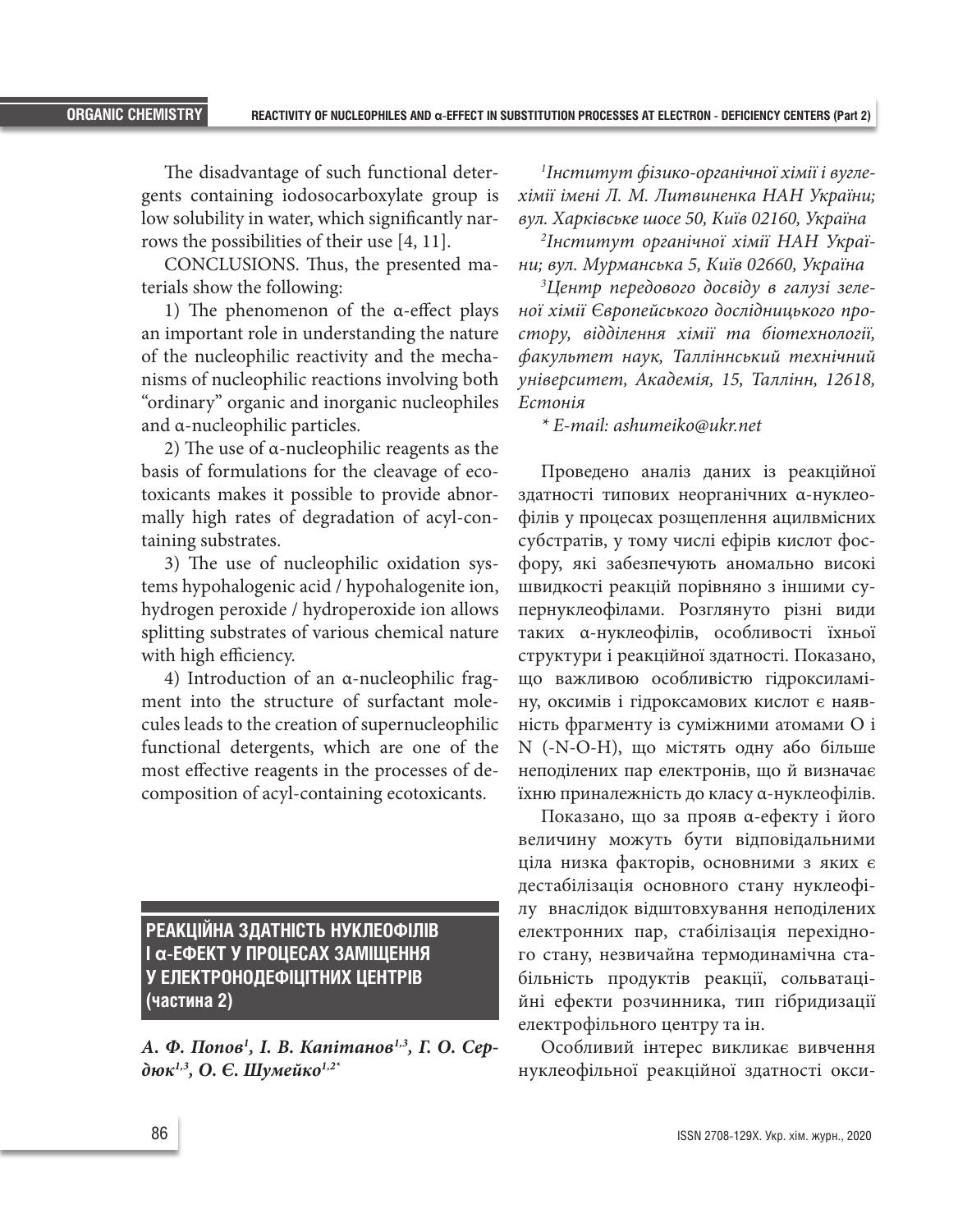The disadvantage of such functional detergents containing iodosocarboxylate group is low solubility in water, which significantly narrows the possibilities of their use [4, 11].

CONCLUSIONS. Thus, the presented materials show the following:

1) The phenomenon of the α-effect plays an important role in understanding the nature of the nucleophilic reactivity and the mechanisms of nucleophilic reactions involving both "ordinary" organic and inorganic nucleophiles and α-nucleophilic particles.

2) The use of α-nucleophilic reagents as the basis of formulations for the cleavage of ecotoxicants makes it possible to provide abnormally high rates of degradation of acyl-containing substrates.

3) The use of nucleophilic oxidation systems hypohalogenic acid / hypohalogenite ion, hydrogen peroxide / hydroperoxide ion allows splitting substrates of various chemical nature with high efficiency.

4) Introduction of an α-nucleophilic fragment into the structure of surfactant molecules leads to the creation of supernucleophilic functional detergents, which are one of the most effective reagents in the processes of decomposition of acyl-containing ecotoxicants.

**РЕАКЦІЙНА ЗДАТНІСТЬ НУКЛЕОФІЛІВ І α-ЕФЕКТ У ПРОЦЕСАХ ЗАМІЩЕННЯ У ЕЛЕКТРОНОДЕФІЦІТНИХ ЦЕНТРІВ (частина 2)**

*А. Ф. Попов1 , I. В. Капiтанов1,3, Г. О. Сер*дюк<sup>1,3</sup>, О. Є. Шумейко<sup>1,2\*</sup>

*1 Інститут фізико-органічної хімії і вуглехімії імені Л. М. Литвиненка НАН України; вул. Харківське шосе 50, Київ 02160, Україна*

*2 Інститут органічної хімії НАН України; вул. Мурманська 5, Київ 02660, Україна*

*3 Центр передового досвіду в галузі зеленої хімії Європейського дослідницького простору, відділення хімії та біотехнології, факультет наук, Талліннський технічний університет, Академія, 15, Таллінн, 12618, Естонія*

*\* E-mail: ashumeiko@ukr.net*

Проведено аналіз даних із реакційної здатності типових неорганічних α-нуклеофілів у процесах розщеплення ацилвмісних субстратів, у тому числі ефірів кислот фосфору, які забезпечують аномально високі швидкості реакцій порівняно з іншими супернуклеофілами. Розглянуто різні види таких α-нуклеофілів, особливості їхньої структури і реакційної здатності. Показано, що важливою особливістю гідроксиламіну, оксимів і гідроксамових кислот є наявність фрагменту із суміжними атомами O і N (-N-O-H), що містять одну або більше неподілених пар електронів, що й визначає їхню приналежність до класу α-нуклеофілів.

Показано, що за прояв α-ефекту і його величину можуть бути відповідальними ціла низка факторів, основними з яких є дестабілізація основного стану нуклеофілу внаслідок відштовхування неподілених електронних пар, стабілізація перехідного стану, незвичайна термодинамічна стабільність продуктів реакції, сольватаційні ефекти розчинника, тип гібридизації електрофільного центру та ін.

Особливий інтерес викликає вивчення нуклеофільної реакційної здатності окси-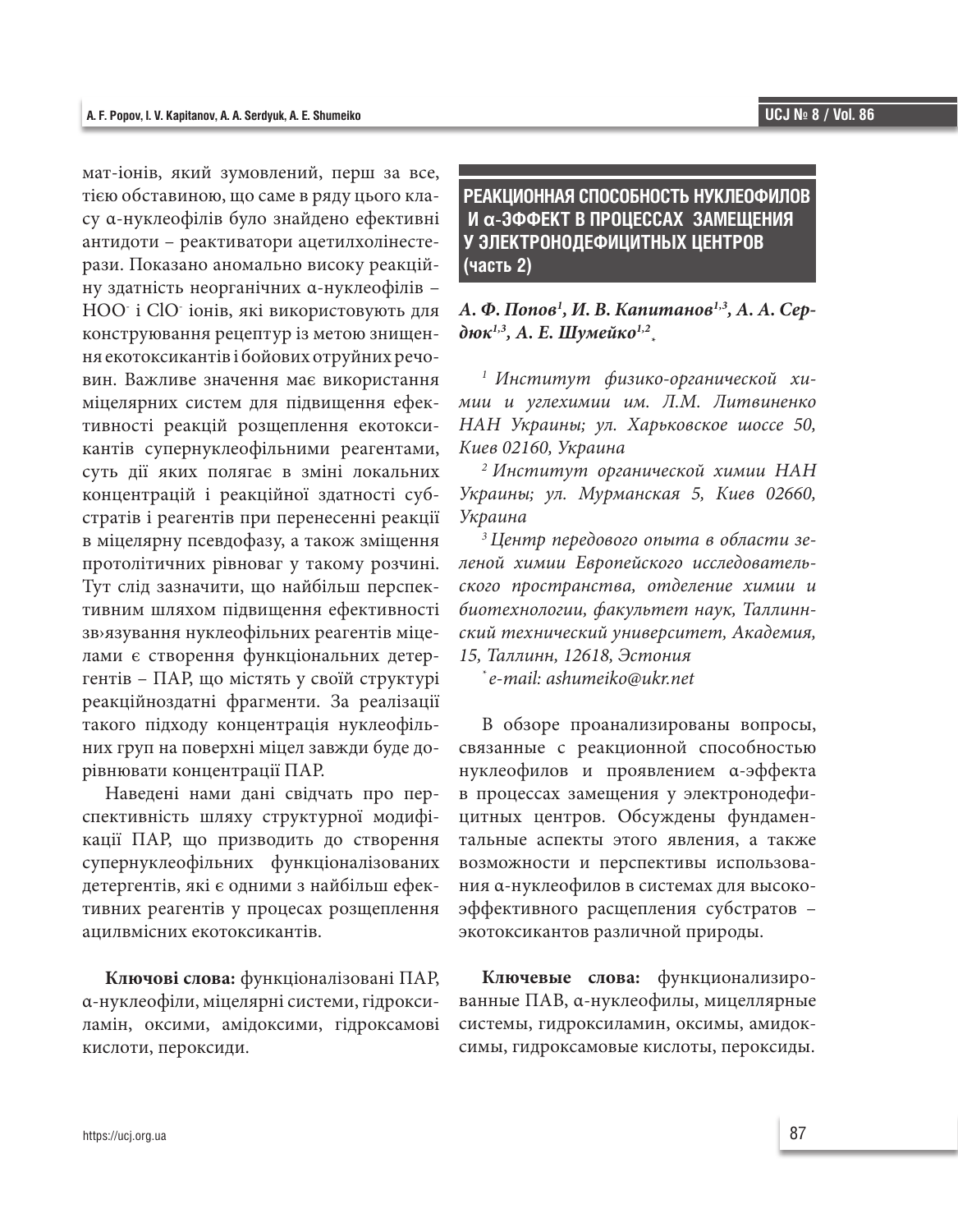мат-іонів, який зумовлений, перш за все, тією обставиною, що саме в ряду цього класу α-нуклеофілів було знайдено ефективні антидоти – реактиватори ацетилхолінестерази. Показано аномально високу реакційну здатність неорганічних α-нуклеофілів – НОО- і ClO- іонів, які використовують для конструювання рецептур із метою знищення екотоксикантів і бойових отруйних речовин. Важливе значення має використання міцелярних систем для підвищення ефективності реакцій розщеплення екотоксикантів супернуклеофільними реагентами, суть дії яких полягає в зміні локальних концентрацій і реакційної здатності субстратів і реагентів при перенесенні реакції в міцелярну псевдофазу, а також зміщення протолітичних рівноваг у такому розчині. Тут слід зазначити, що найбільш перспективним шляхом підвищення ефективності зв›язування нуклеофільних реагентів міцелами є створення функціональних детергентів – ПАР, що містять у своїй структурі реакційноздатні фрагменти. За реалізації такого підходу концентрація нуклеофільних груп на поверхні міцел завжди буде дорівнювати концентрації ПАР.

Наведені нами дані свідчать про перспективність шляху структурної модифікації ПАР, що призводить до створення супернуклеофільних функціоналізованих детергентів, які є одними з найбільш ефективних реагентів у процесах розщеплення ацилвмісних екотоксикантів.

**Ключові слова:** функціоналізовані ПАР, α-нуклеофіли, міцелярні системи, гідроксиламін, оксими, амідоксими, гідроксамові кислоти, пероксиди.

# **РЕАКЦИОННАЯ СПОСОБНОСТЬ НУКЛЕОФИЛОВ И α-ЭФФЕКТ В ПРОЦЕССАХ ЗАМЕЩЕНИЯ У ЭЛЕКТРОНОДЕФИЦИТНЫХ ЦЕНТРОВ (часть 2)**

# *А. Ф. Попов1 , И. В. Капитанов1,3, А. А. Сердюк1,3, А. Е. Шумейко1,2 \**

*1 Институт физико-органической химии и углехимии им. Л.М. Литвиненко НАН Украины; ул. Харьковское шоссе 50, Киев 02160, Украина*

*2 Институт органической химии НАН Украины; ул. Мурманская 5, Киев 02660, Украина*

*3 Центр передового опыта в области зеленой химии Европейского исследовательского пространства, отделение химии и биотехнологии, факультет наук, Таллиннский технический университет, Академия, 15, Таллинн, 12618, Эстония*

*\* e-mail: ashumeiko@ukr.net*

В обзоре проанализированы вопросы, связанные с реакционной способностью нуклеофилов и проявлением α-эффекта в процессах замещения у электронодефицитных центров. Обсуждены фундаментальные аспекты этого явления, а также возможности и перспективы использования α-нуклеофилов в системах для высокоэффективного расщепления субстратов – экотоксикантов различной природы.

**Ключевые слова:** функционализированные ПАВ, α-нуклеофилы, мицеллярные системы, гидроксиламин, оксимы, амидоксимы, гидроксамовые кислоты, пероксиды.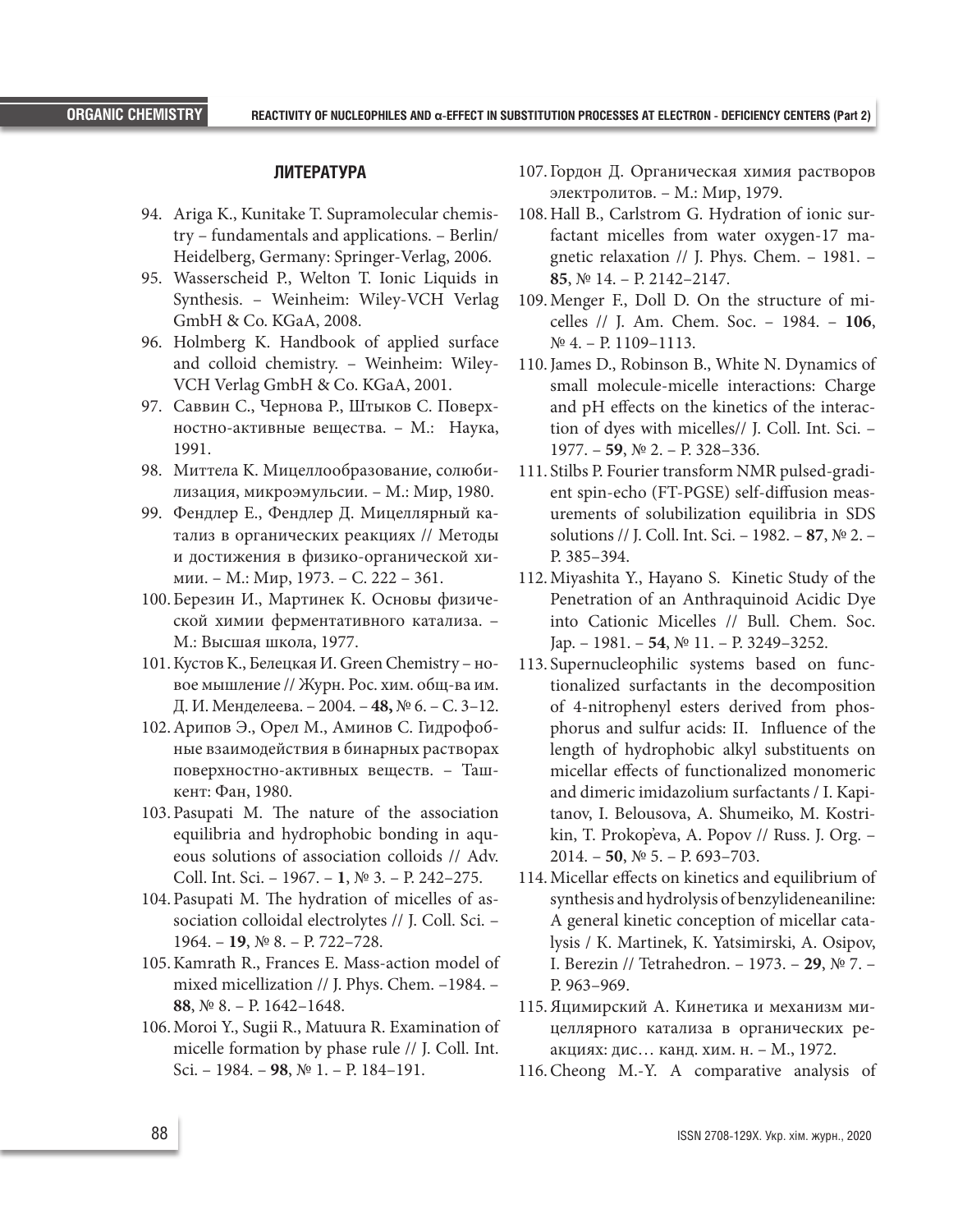#### **ЛИТЕРАТУРА**

- 94. Ariga K., Kunitake T. Supramolecular chemistry – fundamentals and applications. – Berlin/ Heidelberg, Germany: Springer-Verlag, 2006.
- 95. Wasserscheid P., Welton T. Ionic Liquids in Synthesis. – Weinheim: Wiley-VCH Verlag GmbH & Co. KGaA, 2008.
- 96. Holmberg K. Handbook of applied surface and colloid chemistry. – Weinheim: Wiley-VCH Verlag GmbH & Co. KGaA, 2001.
- 97. Саввин С., Чернова Р., Штыков С. Поверхностно-активные вещества. – М.: Наука, 1991.
- 98. Миттела K. Мицеллообразование, солюбилизация, микроэмульсии. – М.: Мир, 1980.
- 99. Фендлер Е., Фендлер Д. Мицеллярный катализ в органических реакциях // Методы и достижения в физико-органической химии. – М.: Мир, 1973. – С. 222 – 361.
- 100.Березин И., Мартинек К. Основы физической химии ферментативного катализа. – М.: Высшая школа, 1977.
- 101.Кустов K., Белецкая И. Green Chemistry новое мышление // Журн. Рос. хим. общ-ва им. Д. И. Менделеева. – 2004. – **48,** № 6. – С. 3–12.
- 102.Арипов Э., Орел М., Аминов С. Гидрофобные взаимодействия в бинарных растворах поверхностно-активных веществ. – Ташкент: Фан, 1980.
- 103.Pasupati М. The nature of the association equilibria and hydrophobic bonding in aqueous solutions of association colloids // Adv. Coll. Int. Sci. – 1967. – **1**, № 3. – P. 242–275.
- 104.Pasupati М. The hydration of micelles of association colloidal electrolytes // J. Coll. Sci. – 1964. – **19**, № 8. – P. 722–728.
- 105.Kamrath R., Frances E. Mass-action model of mixed micellization // J. Phys. Chem. –1984. – **88**, № 8. – P. 1642–1648.
- 106.Moroi Y., Sugii R., Matuura R. Examination of micelle formation by phase rule // J. Coll. Int. Sci. – 1984. – **98**, № 1. – P. 184–191.
- 107. Гордон Д. Органическая химия растворов электролитов. – М.: Мир, 1979.
- 108.Hall B., Carlstrom G. Hydration of ionic surfactant micelles from water oxygen-17 magnetic relaxation // J. Phys. Chem. – 1981. – **85**, № 14. – P. 2142–2147.
- 109.Menger F., Doll D. On the structure of micelles // J. Am. Chem. Soc. – 1984. – **106**, № 4. – P. 1109–1113.
- 110.James D., Robinson B., White N. Dynamics of small molecule-micelle interactions: Charge and pH effects on the kinetics of the interaction of dyes with micelles// J. Coll. Int. Sci. – 1977. – **59**, № 2. – P. 328–336.
- 111. Stilbs P. Fourier transform NMR pulsed-gradient spin-echo (FT-PGSE) self-diffusion measurements of solubilization equilibria in SDS solutions // J. Coll. Int. Sci. – 1982. – **87**, № 2. – P. 385–394.
- 112.Miyashita Y., Hayano S. Kinetic Study of the Penetration of an Anthraquinoid Acidic Dye into Cationic Micelles // Bull. Chem. Soc. Jap. – 1981. – **54**, № 11. – P. 3249–3252.
- 113. Supernucleophilic systems based on functionalized surfactants in the decomposition of 4-nitrophenyl esters derived from phosphorus and sulfur acids: II. Influence of the length of hydrophobic alkyl substituents on micellar effects of functionalized monomeric and dimeric imidazolium surfactants / I. Kapitanov, I. Belousova, А. Shumeiko, М. Kostrikin, Т. Prokop'eva, А. Popov // Russ. J. Org. – 2014. – **50**, № 5. – P. 693–703.
- 114.Micellar effects on kinetics and equilibrium of synthesis and hydrolysis of benzylideneaniline: A general kinetic conception of micellar catalysis / К. Martinek, К. Yatsimirski, А. Osipov, І. Berezin // Tetrahedron. – 1973. – **29**, № 7. – P. 963–969.
- 115.Яцимирский А. Кинетика и механизм мицеллярного катализа в органических реакциях: дис… канд. хим. н. – М., 1972.
- 116.Cheong M.-Y. A comparative analysis of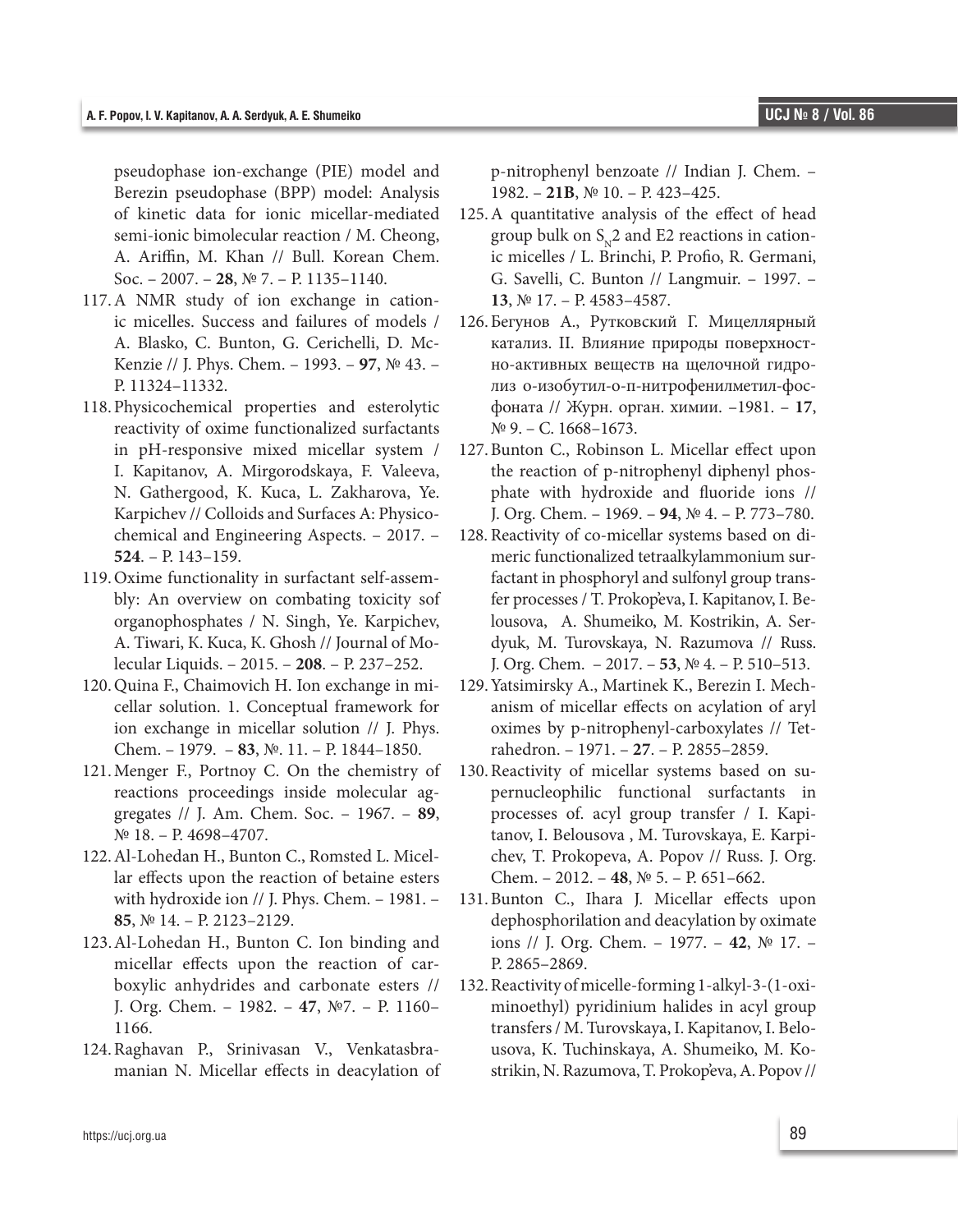pseudophase ion-exchange (PIE) model and Berezin pseudophase (BPP) model: Analysis of kinetic data for ionic micellar-mediated semi-ionic bimolecular reaction / M. Cheong, А. Ariffin, М. Khan // Bull. Korean Chem. Soc. – 2007. – **28**, № 7. – P. 1135–1140.

- 117.A NMR study of ion exchange in cationic micelles. Success and failures of models / А. Blasko, С. Bunton, G. Cerichelli, D. Mc-Kenzie // J. Phys. Chem. – 1993. – **97**, № 43. – P. 11324–11332.
- 118.Physicochemical properties and esterolytic reactivity of oxime functionalized surfactants in pH-responsive mixed micellar system / І. Kapitanov, А. Mirgorodskaya, F. Valeeva, N. Gathergood, К. Kuca, L. Zakharova, Ye. Karpichev // Colloids and Surfaces A: Physicochemical and Engineering Aspects. – 2017. – **524**. – P. 143–159.
- 119.Oxime functionality in surfactant self-assembly: An overview on combating toxicity sof organophosphates / N. Singh, Ye. Karpichev, А. Tiwari, К. Kuca, К. Ghosh // Journal of Molecular Liquids. – 2015. – **208**. – P. 237–252.
- 120.Quina F., Chaimovich H. Ion exchange in micellar solution. 1. Conceptual framework for ion exchange in micellar solution // J. Phys. Chem. – 1979. – **83**, №. 11. – P. 1844–1850.
- 121.Menger F., Portnoy С. On the chemistry of reactions proceedings inside molecular aggregates // J. Am. Chem. Soc. – 1967. – **89**, № 18. – P. 4698–4707.
- 122.Al-Lohedan H., Bunton C., Romsted L. Micellar effects upon the reaction of betaine esters with hydroxide ion // J. Phys. Chem. – 1981. – **85**, № 14. – P. 2123–2129.
- 123.Al-Lohedan H., Bunton C. Ion binding and micellar effects upon the reaction of carboxylic anhydrides and carbonate esters // J. Org. Chem. – 1982. – **47**, №7. – P. 1160– 1166.
- 124.Raghavan P., Srinivasan V., Venkatasbramanian N. Micellar effects in deacylation of

p-nitrophenyl benzoate // Indian J. Chem. – 1982. – **21B**, № 10. – P. 423–425.

- 125.A quantitative analysis of the effect of head group bulk on  $S_{n2}$  and E2 reactions in cationic micelles / L. Brinchi, Р. Profio, R. Germani, G. Savelli, С. Bunton // Langmuir. – 1997. – **13**, № 17. – P. 4583–4587.
- 126.Бегунов А., Рутковский Г. Мицеллярный катализ. II. Влияние природы поверхностно-активных веществ на щелочной гидролиз о-изобутил-о-п-нитрофенилметил-фосфоната // Журн. орган. химии. –1981. – **17**, № 9. – С. 1668–1673.
- 127.Bunton C., Robinson L. Micellar effect upon the reaction of p-nitrophenyl diphenyl phosphate with hydroxide and fluoride ions // J. Org. Chem. – 1969. – **94**, № 4. – P. 773–780.
- 128. Reactivity of co-micellar systems based on dimeric functionalized tetraalkylammonium surfactant in phosphoryl and sulfonyl group transfer processes / Т. Prokop'eva, I. Kapitanov, I. Belousova, А. Shumeiko, М. Kostrikin, А. Serdyuk, М. Turovskaya, N. Razumova // Russ. J. Org. Chem. – 2017. – **53**, № 4. – P. 510–513.
- 129.Yatsimirsky A., Martinek K., Berezin I. Mechanism of micellar effects on acylation of aryl oximes by p-nitrophenyl-carboxylates // Tetrahedron. – 1971. – **27**. – P. 2855–2859.
- 130.Reactivity of micellar systems based on supernucleophilic functional surfactants in processes of. acyl group transfer / І. Kapitanov, І. Belousova , М. Turovskaya, Е. Karpichev, Т. Prokopeva, А. Popov // Russ. J. Org. Chem. – 2012. – **48**, № 5. – P. 651–662.
- 131.Bunton C., Ihara J. Micellar effects upon dephosphorilation and deacylation by oximate ions // J. Org. Chem. – 1977. – **42**, № 17. – P. 2865–2869.
- 132.Reactivity of micelle-forming 1-alkyl-3-(1-oximinoethyl) pyridinium halides in acyl group transfers / М. Turovskaya, І. Kapitanov, І. Belousova, К. Tuchinskaya, А. Shumeiko, М. Kostrikin, N. Razumova, Т. Prokop'eva, А. Popov //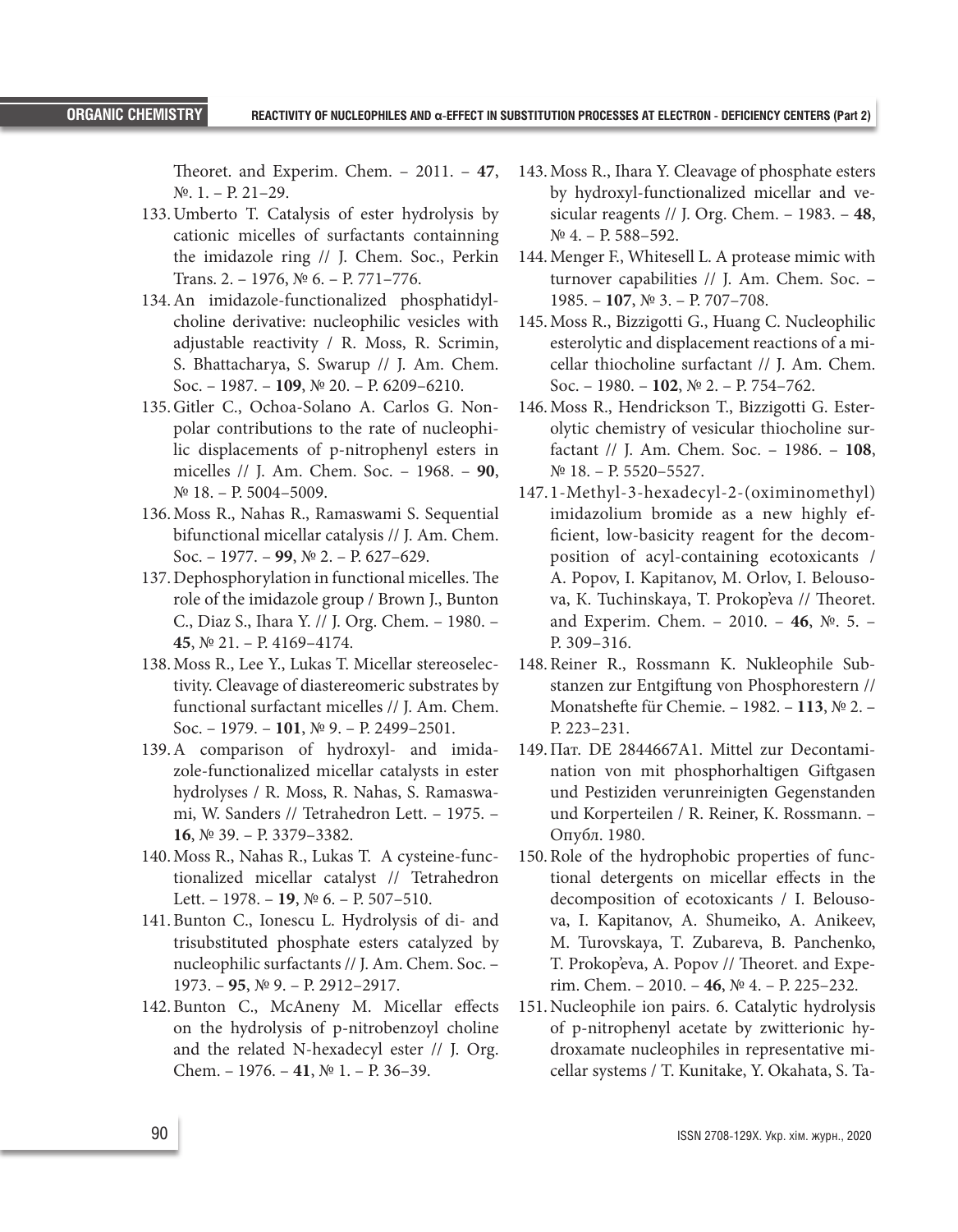Theoret. and Experim. Chem. – 2011. – **47**, №. 1. – P. 21–29.

- 133.Umberto T. Catalysis of ester hydrolysis by cationic micelles of surfactants containning the imidazole ring // J. Chem. Soc., Perkin Trans. 2. – 1976, № 6. – P. 771–776.
- 134.An imidazole-functionalized phosphatidylcholine derivative: nucleophilic vesicles with adjustable reactivity / R. Moss, R. Scrimin, S. Bhattacharya, S. Swarup // J. Am. Chem. Soc. – 1987. – **109**, № 20. – P. 6209–6210.
- 135.Gitler C., Ochoa-Solano A. Carlos G. Nonpolar contributions to the rate of nucleophilic displacements of p-nitrophenyl esters in micelles // J. Am. Chem. Soc. – 1968. – **90**, № 18. – P. 5004–5009.
- 136.Moss R., Nahas R., Ramaswami S. Sequential bifunctional micellar catalysis // J. Am. Chem. Soc. – 1977. – **99**, № 2. – P. 627–629.
- 137.Dephosphorylation in functional micelles. The role of the imidazole group / Brown J., Bunton C., Diaz S., Ihara Y. // J. Org. Chem. – 1980. – **45**, № 21. – P. 4169–4174.
- 138.Moss R., Lee Y., Lukas T. Micellar stereoselectivity. Cleavage of diastereomeric substrates by functional surfactant micelles // J. Am. Chem. Soc. – 1979. – **101**, № 9. – P. 2499–2501.
- 139.A comparison of hydroxyl- and imidazole-functionalized micellar catalysts in ester hydrolyses / R. Moss, R. Nahas, S. Ramaswami, W. Sanders // Tetrahedron Lett. – 1975. – **16**, № 39. – P. 3379–3382.
- 140.Moss R., Nahas R., Lukas T. A cysteine-functionalized micellar catalyst // Tetrahedron Lett. – 1978. – **19**, № 6. – P. 507–510.
- 141.Bunton C., Ionescu L. Hydrolysis of di- and trisubstituted phosphate esters catalyzed by nucleophilic surfactants // J. Am. Chem. Soc. – 1973. – **95**, № 9. – P. 2912–2917.
- 142.Bunton C., McAneny M. Micellar effects on the hydrolysis of p-nitrobenzoyl choline and the related N-hexadecyl ester // J. Org. Chem. – 1976. – **41**, № 1. – P. 36–39.
- 143.Moss R., Ihara Y. Cleavage of phosphate esters by hydroxyl-functionalized micellar and vesicular reagents // J. Org. Chem. – 1983. – **48**, № 4. – P. 588–592.
- 144.Menger F., Whitesell L. A protease mimic with turnover capabilities // J. Am. Chem. Soc. – 1985. – **107**, № 3. – P. 707–708.
- 145.Moss R., Bizzigotti G., Huang C. Nucleophilic esterolytic and displacement reactions of a micellar thiocholine surfactant // J. Am. Chem. Soc. – 1980. – **102**, № 2. – P. 754–762.
- 146.Moss R., Hendrickson T., Bizzigotti G. Esterolytic chemistry of vesicular thiocholine surfactant // J. Am. Chem. Soc. – 1986. – **108**, № 18. – P. 5520–5527.
- 147.1-Methyl-3-hexadecyl-2-(oximinomethyl) imidazolium bromide as a new highly efficient, low-basicity reagent for the decomposition of acyl-containing ecotoxicants / А. Popov, І. Kapitanov, М. Orlov, І. Belousova, К. Tuchinskaya, Т. Prokop'eva // Theoret. and Experim. Chem. – 2010. – **46**, №. 5. – P. 309–316.
- 148.Reiner R., Rossmann K. Nukleophile Substanzen zur Entgiftung von Phosphorestern // Monatshefte für Chemie. – 1982. – **113**, № 2. – P. 223–231.
- 149.Пат. DE 2844667A1. Mittel zur Decontamination von mit phosphorhaltigen Giftgasen und Pestiziden verunreinigten Gegenstanden und Korperteilen / R. Reiner, К. Rossmann. – Опубл. 1980.
- 150.Role of the hydrophobic properties of functional detergents on micellar effects in the decomposition of ecotoxicants / І. Belousova, І. Kapitanov, А. Shumeiko, А. Anikeev, М. Turovskaya, Т. Zubareva, В. Panchenko, Т. Prokop'eva, А. Popov // Theoret. and Experim. Chem. – 2010. – **46**, № 4. – P. 225–232.
- 151.Nucleophile ion pairs. 6. Catalytic hydrolysis of p-nitrophenyl acetate by zwitterionic hydroxamate nucleophiles in representative micellar systems / Т. Kunitake, Y. Okahata, S. Ta-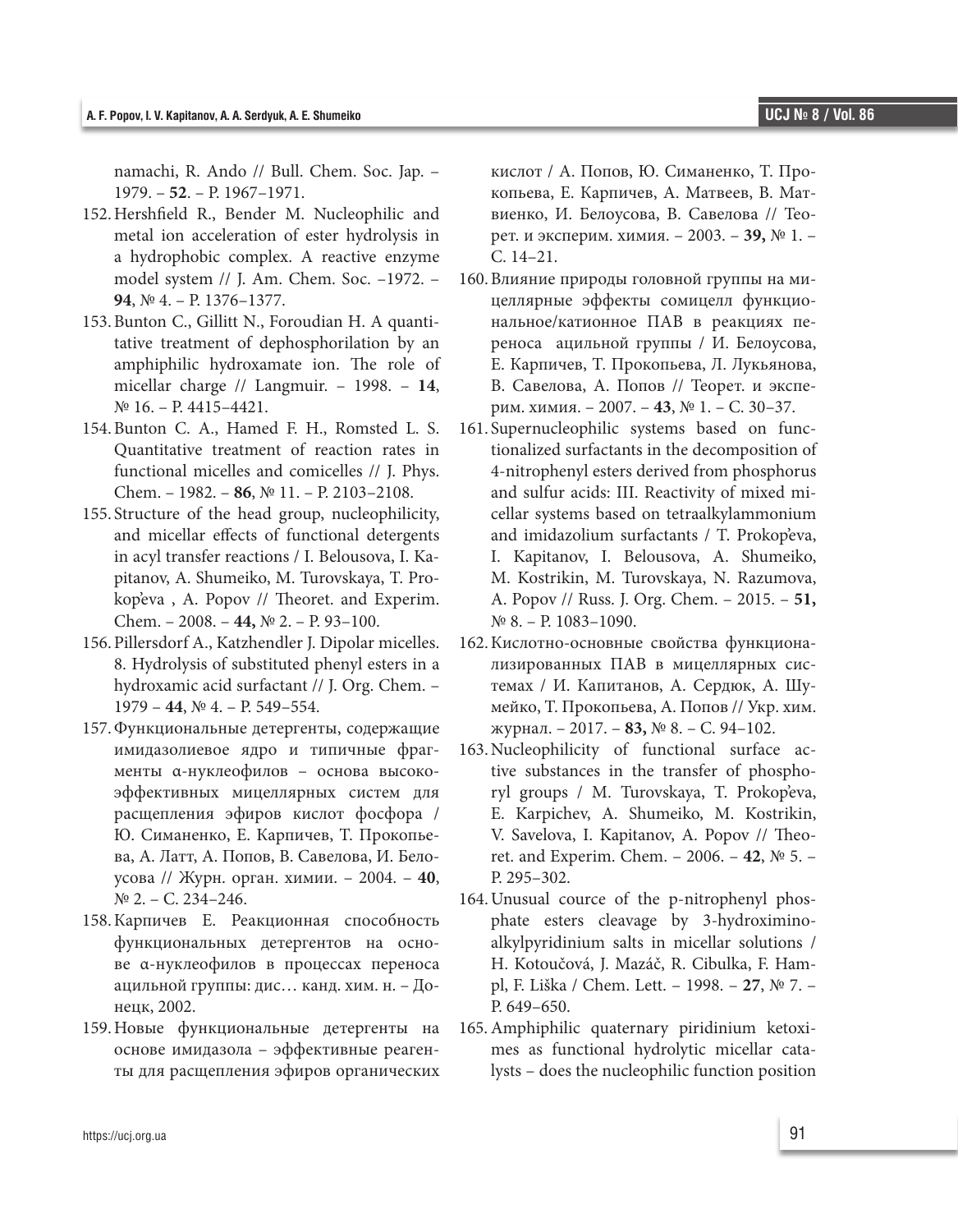namachi, R. Ando // Bull. Chem. Soc. Jap. – 1979. – **52**. – P. 1967–1971.

- 152.Hershfield R., Bender M. Nucleophilic and metal ion acceleration of ester hydrolysis in a hydrophobic complex. A reactive enzyme model system // J. Am. Chem. Soc. –1972. – **94**, № 4. – P. 1376–1377.
- 153.Bunton C., Gillitt N., Foroudian H. A quantitative treatment of dephosphorilation by an amphiphilic hydroxamate ion. The role of micellar charge // Langmuir. – 1998. – **14**, № 16. – P. 4415–4421.
- 154.Bunton C. A., Hamed F. H., Romsted L. S. Quantitative treatment of reaction rates in functional micelles and comicelles // J. Phys. Chem. – 1982. – **86**, № 11. – P. 2103–2108.
- 155. Structure of the head group, nucleophilicity, and micellar effects of functional detergents in acyl transfer reactions / І. Belousova, І. Kapitanov, А. Shumeiko, М. Turovskaya, Т. Prokop'eva , А. Popov // Theoret. and Experim. Chem. – 2008. – **44,** № 2. – P. 93–100.
- 156.Pillersdorf A., Katzhendler J. Dipolar micelles. 8. Hydrolysis of substituted phenyl esters in a hydroxamic acid surfactant // J. Org. Chem. – 1979 – **44**, № 4. – P. 549–554.
- 157.Функциональные детергенты, содержащие имидазолиевое ядро и типичные фрагменты α-нуклеофилов – основа высокоэффективных мицеллярных систем для расщепления эфиров кислот фосфора / Ю. Симаненко, Е. Карпичев, Т. Прокопьева, А. Латт, А. Попов, В. Савелова, И. Белоусова // Журн. орган. химии. – 2004. – **40**, № 2. – С. 234–246.
- 158.Карпичев Е. Реакционная способность функциональных детергентов на основе α-нуклеофилов в процессах переноса ацильной группы: дис… канд. хим. н. – Донецк, 2002.
- 159.Новые функциональные детергенты на основе имидазола – эффективные реагенты для расщепления эфиров органических

кислот / А. Попов, Ю. Симаненко, Т. Прокопьева, Е. Карпичев, А. Матвеев, В. Матвиенко, И. Белоусова, В. Савелова // Теорет. и эксперим. химия. – 2003. – **39,** № 1. – С. 14–21.

- 160.Влияние природы головной группы на мицеллярные эффекты сомицелл функциональное/катионное ПАВ в реакциях переноса ацильной группы / И. Белоусова, Е. Карпичев, Т. Прокопьева, Л. Лукьянова, В. Савелова, А. Попов // Теорет. и эксперим. химия. – 2007. – **43**, № 1. – С. 30–37.
- 161. Supernucleophilic systems based on functionalized surfactants in the decomposition of 4-nitrophenyl esters derived from phosphorus and sulfur acids: III. Reactivity of mixed micellar systems based on tetraalkylammonium and imidazolium surfactants / Т. Prokop'eva, І. Kapitanov, І. Belousova, А. Shumeiko, М. Kostrikin, М. Turovskaya, N. Razumova, А. Popov // Russ. J. Org. Chem. – 2015. – **51,**   $N<sup>°</sup>$  8. – P. 1083–1090.
- 162.Кислотно-основные свойства функционализированных ПАВ в мицеллярных системах / И. Капитанов, А. Сердюк, А. Шумейко, Т. Прокопьева, А. Попов // Укр. хим. журнал. – 2017. – **83,** № 8. – С. 94–102.
- 163.Nucleophilicity of functional surface active substances in the transfer of phosphoryl groups / М. Turovskaya, Т. Prokop'eva, Е. Karpichev, А. Shumeiko, М. Kostrikin, V. Savelova, І. Kapitanov, А. Popov // Theoret. and Experim. Chem. – 2006. – **42**, № 5. – P. 295–302.
- 164.Unusual cource of the p-nitrophenyl phosphate esters cleavage by 3-hydroximinoalkylpyridinium salts in micellar solutions / Н. Kotoučová, J. Mazáč, R. Cibulka, F. Hampl, F. Liška / Chem. Lett. – 1998. – **27**, № 7. – P. 649-650.
- 165.Amphiphilic quaternary piridinium ketoximes as functional hydrolytic micellar catalysts – does the nucleophilic function position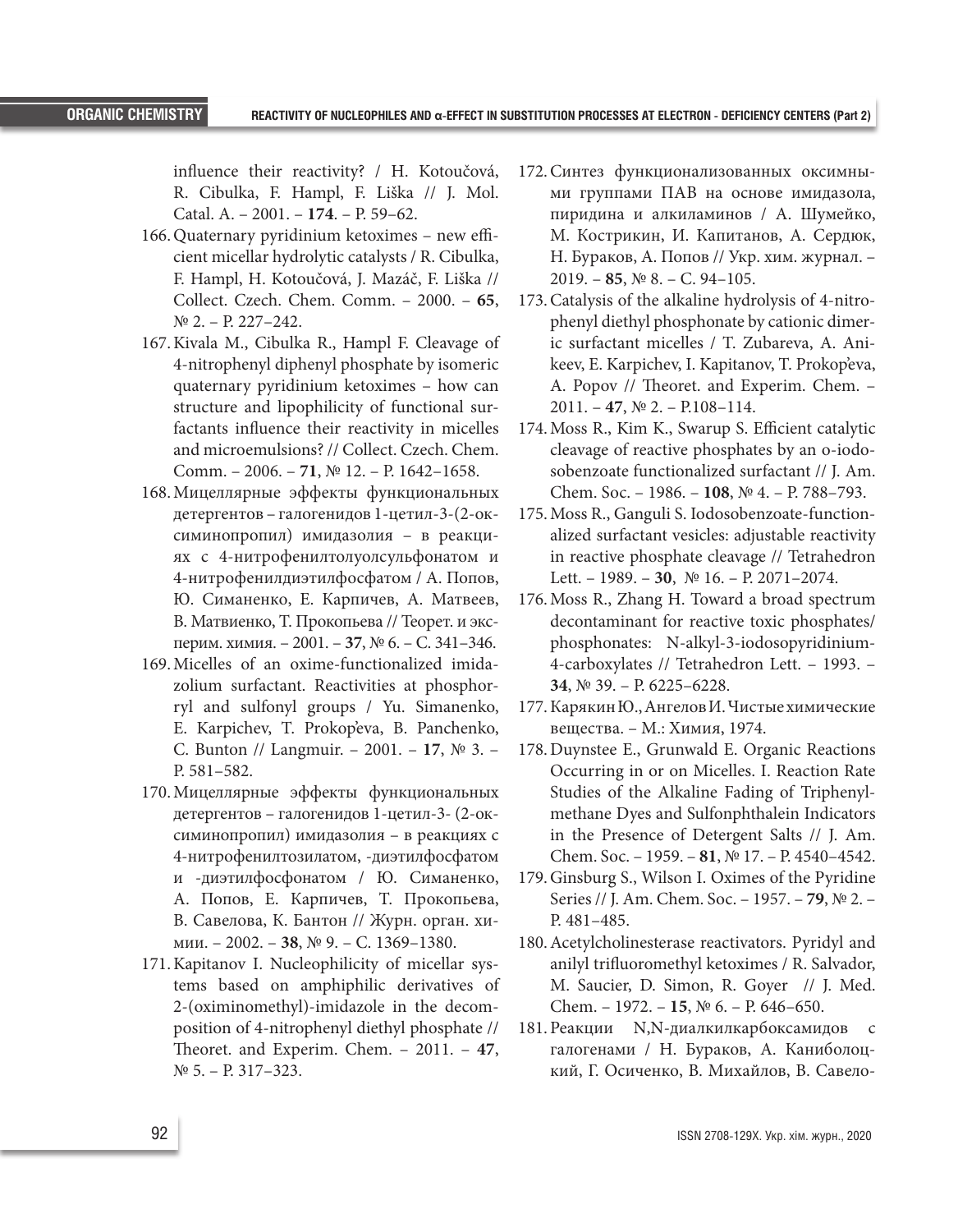influence their reactivity? / Н. Kotoučová, R. Cibulka, F. Hampl, F. Liška // J. Mol. Catal. A. – 2001. – **174**. – P. 59–62.

- 166.Quaternary pyridinium ketoximes new efficient micellar hydrolytic catalysts / R. Cibulka, F. Hampl, Н. Kotoučová, J. Mazáč, F. Liška // Collect. Czech. Chem. Comm. – 2000. – **65**,  $N<sup>0</sup>$  2. – P. 227–242.
- 167.Kivala M., Cibulka R., Hampl F. Cleavage of 4-nitrophenyl diphenyl phosphate by isomeric quaternary pyridinium ketoximes – how can structure and lipophilicity of functional surfactants influence their reactivity in micelles and microemulsions? // Collect. Czech. Chem. Comm. – 2006. – **71**, № 12. – P. 1642–1658.
- 168.Мицеллярные эффекты функциональных детергентов – галогенидов 1-цетил-3-(2-оксиминопропил) имидазолия – в реакциях с 4-нитрофенилтолуолсульфонатом и 4-нитрофенилдиэтилфосфатом / А. Попов, Ю. Симаненко, Е. Карпичев, А. Матвеев, В. Матвиенко, Т. Прокопьева // Теорет. и эксперим. химия. – 2001. – **37**, № 6. – С. 341–346.
- 169.Micelles of an oxime-functionalized imidazolium surfactant. Reactivities at phosphorryl and sulfonyl groups / Yu. Simanenko, Е. Karpichev, Т. Prokop'eva, В. Panchenko, С. Bunton // Langmuir. – 2001. – **17**, № 3. – P. 581–582.
- 170.Мицеллярные эффекты функциональных детергентов – галогенидов 1-цетил-3- (2-оксиминопропил) имидазолия – в реакциях с 4-нитрофенилтозилатом, -диэтилфосфатом и -диэтилфосфонатом / Ю. Симаненко, А. Попов, Е. Карпичев, Т. Прокопьева, В. Савелова, К. Бантон // Журн. орган. химии. – 2002. – **38**, № 9. – С. 1369–1380.
- 171.Kapitanov I. Nucleophilicity of micellar systems based on amphiphilic derivatives of 2-(oximinomethyl)-imidazole in the decomposition of 4-nitrophenyl diethyl phosphate // Theoret. and Experim. Chem. – 2011. – **47**, № 5. – P. 317–323.
- 172.Синтез функционализованных оксимными группами ПАВ на основе имидазола, пиридина и алкиламинов / А. Шумейко, М. Кострикин, И. Капитанов, А. Сердюк, Н. Бураков, А. Попов // Укр. хим. журнал. – 2019. – **85**, № 8. – С. 94–105.
- 173.Catalysis of the alkaline hydrolysis of 4-nitrophenyl diethyl phosphonate by cationic dimeric surfactant micelles / Т. Zubareva, А. Anikeev, Е. Karpichev, І. Kapitanov, Т. Prokop'eva, А. Popov // Theoret. and Experim. Chem. – 2011. – **47**, № 2. – P.108–114.
- 174.Moss R., Kim K., Swarup S. Efficient catalytic cleavage of reactive phosphates by an o-iodosobenzoate functionalized surfactant // J. Am. Chem. Soc. – 1986. – **108**, № 4. – P. 788–793.
- 175.Moss R., Ganguli S. Iodosobenzoate-functionalized surfactant vesicles: adjustable reactivity in reactive phosphate cleavage // Tetrahedron Lett. – 1989. – **30**, № 16. – P. 2071–2074.
- 176.Moss R., Zhang H. Toward a broad spectrum decontaminant for reactive toxic phosphates/ phosphonates: N-alkyl-3-iodosopyridinium-4-carboxylates // Tetrahedron Lett. – 1993. – **34**, № 39. – P. 6225–6228.
- 177.Карякин Ю., Ангелов И. Чистые химические вещества. – М.: Химия, 1974.
- 178.Duynstee E., Grunwald E. Organic Reactions Occurring in or on Micelles. I. Reaction Rate Studies of the Alkaline Fading of Triphenylmethane Dyes and Sulfonphthalein Indicators in the Presence of Detergent Salts // J. Am. Chem. Soc. – 1959. – **81**, № 17. – P. 4540–4542.
- 179.Ginsburg S., Wilson I. Oximes of the Pyridine Series // J. Am. Chem. Soc. – 1957. – **79**, № 2. – P. 481–485.
- 180.Acetylcholinesterase reactivators. Pyridyl and anilyl trifluoromethyl ketoximes / R. Salvador, М. Saucier, D. Simon, R. Goyer // J. Med. Chem. – 1972. – **15**, № 6. – P. 646–650.
- 181.Реакции N,N-диалкилкарбоксамидов с галогенами / Н. Бураков, А. Каниболоцкий, Г. Осиченко, В. Михайлов, В. Савело-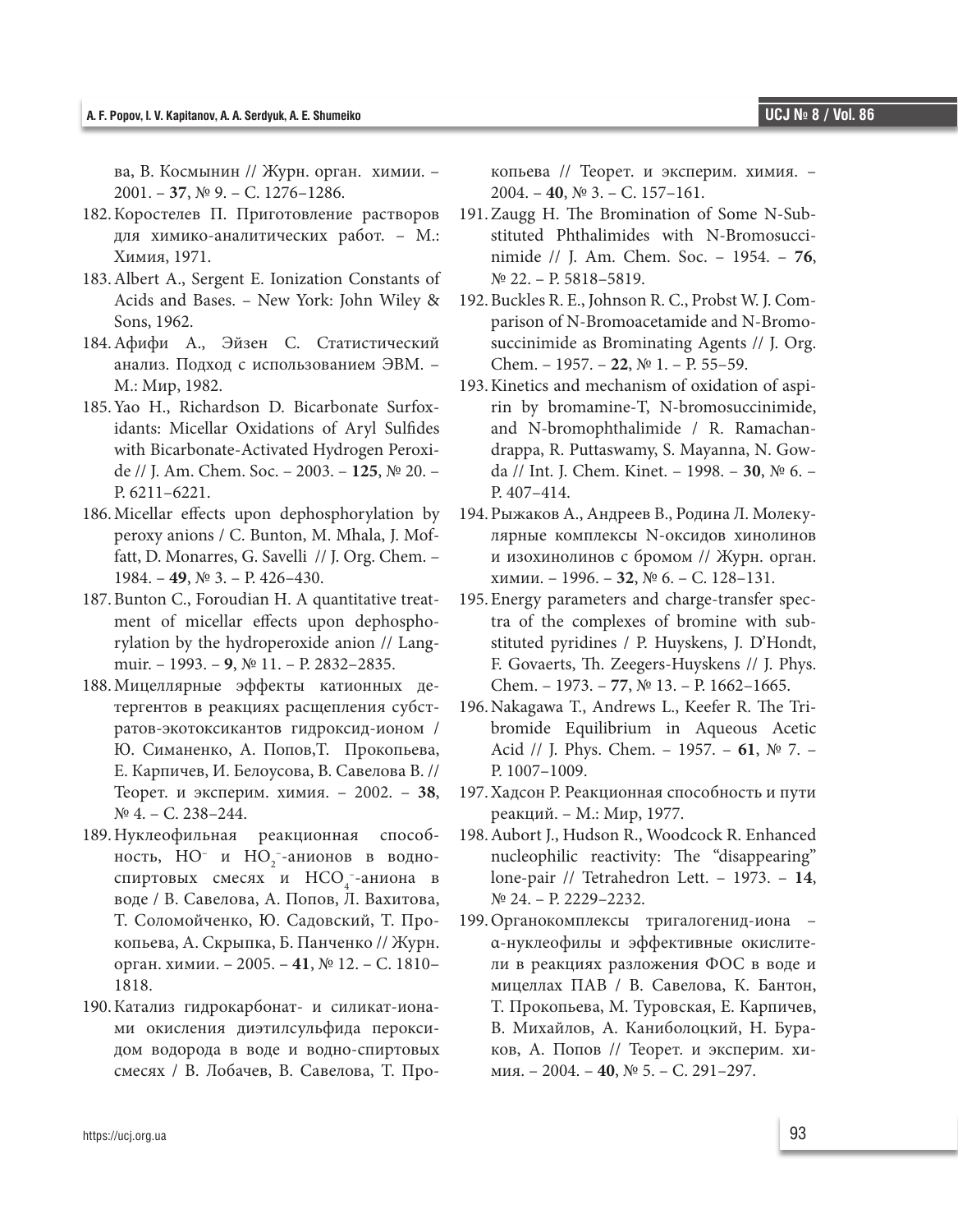ва, В. Космынин // Журн. орган. химии. – 2001. – **37**, № 9. – С. 1276–1286.

- 182.Коростелев П. Приготовление растворов для химико-аналитических работ. – М.: Химия, 1971.
- 183.Albert A., Sergent E. Ionization Constants of Acids and Bases. – New York: John Wiley & Sons, 1962.
- 184.Афифи А., Эйзен С. Статистический анализ. Подход с использованием ЭВМ. – М.: Мир, 1982.
- 185.Yao H., Richardson D. Bicarbonate Surfoxidants: Micellar Oxidations of Aryl Sulfides with Bicarbonate-Activated Hydrogen Peroxide // J. Am. Chem. Soc. – 2003. – **125**, № 20. – P. 6211–6221.
- 186.Micellar effects upon dephosphorylation by peroxy anions / С. Bunton, М. Mhala, J. Moffatt, D. Monarres, G. Savelli // J. Org. Chem. – 1984. – **49**, № 3. – P. 426–430.
- 187.Bunton C., Foroudian H. A quantitative treatment of micellar effects upon dephosphorylation by the hydroperoxide anion // Langmuir. – 1993. – **9**, № 11. – P. 2832–2835.
- 188.Мицеллярные эффекты катионных детергентов в реакциях расщепления субстратов-экотоксикантов гидроксид-ионом / Ю. Симаненко, А. Попов,Т. Прокопьева, Е. Карпичев, И. Белоусова, В. Савелова В. // Теорет. и эксперим. химия. – 2002. – **38**, № 4. – С. 238–244.
- 189.Нуклеофильная реакционная способность,  $HO^-$  и  $HO_2^-$ -анионов в водноспиртовых смесях и  $HCO_4^-$ -аниона в воде / В. Савелова, А. Попов, Л. Вахитова, Т. Соломойченко, Ю. Садовский, Т. Прокопьева, А. Скрыпка, Б. Панченко // Журн. орган. химии. – 2005. – **41**, № 12. – С. 1810– 1818.
- 190.Катализ гидрокарбонат- и силикат-ионами окисления диэтилсульфида пероксидом водорода в воде и водно-спиртовых смесях / В. Лобачев, В. Савелова, Т. Про-

копьева // Теорет. и эксперим. химия. – 2004. – **40**, № 3. – С. 157–161.

- 191.Zaugg H. The Bromination of Some N-Substituted Phthalimides with N-Bromosuccinimide // J. Am. Chem. Soc. – 1954. – **76**, № 22. – P. 5818–5819.
- 192.Buckles R. E., Johnson R. C., Probst W. J. Comparison of N-Bromoacetamide and N-Bromosuccinimide as Brominating Agents // J. Org. Chem. – 1957. – **22**, № 1. – P. 55–59.
- 193.Kinetics and mechanism of oxidation of aspirin by bromamine-T, N-bromosuccinimide, and N-bromophthalimide / R. Ramachandrappa, R. Puttaswamy, S. Mayanna, N. Gowda // Int. J. Chem. Kinet. – 1998. – **30**, № 6. – P. 407–414.
- 194.Рыжаков А., Андреев В., Родина Л. Молекулярные комплексы N-оксидов хинолинов и изохинолинов с бромом // Журн. орган. химии. – 1996. – **32**, № 6. – С. 128–131.
- 195.Energy parameters and charge-transfer spectra of the complexes of bromine with substituted pyridines / P. Huyskens, J. D'Hondt, F. Govaerts, Th. Zeegers-Huyskens // J. Phys. Chem. – 1973. – **77**, № 13. – P. 1662–1665.
- 196.Nakagawa T., Andrews L., Keefer R. The Tribromide Equilibrium in Aqueous Acetic Acid // J. Phys. Chem. – 1957. – **61**, № 7. – P. 1007–1009.
- 197.Хадсон Р. Реакционная способность и пути реакций. – М.: Мир, 1977.
- 198.Aubort J., Hudson R., Woodcock R. Enhanced nucleophilic reactivity: The "disappearing" lone-pair // Tetrahedron Lett. – 1973. – **14**, № 24. – P. 2229–2232.
- 199.Органокомплексы тригалогенид-иона α-нуклеофилы и эффективные окислители в реакциях разложения ФОС в воде и мицеллах ПАВ / В. Савелова, К. Бантон, Т. Прокопьева, М. Туровская, Е. Карпичев, В. Михайлов, А. Каниболоцкий, Н. Бураков, А. Попов // Теорет. и эксперим. химия. – 2004. – **40**, № 5. – С. 291–297.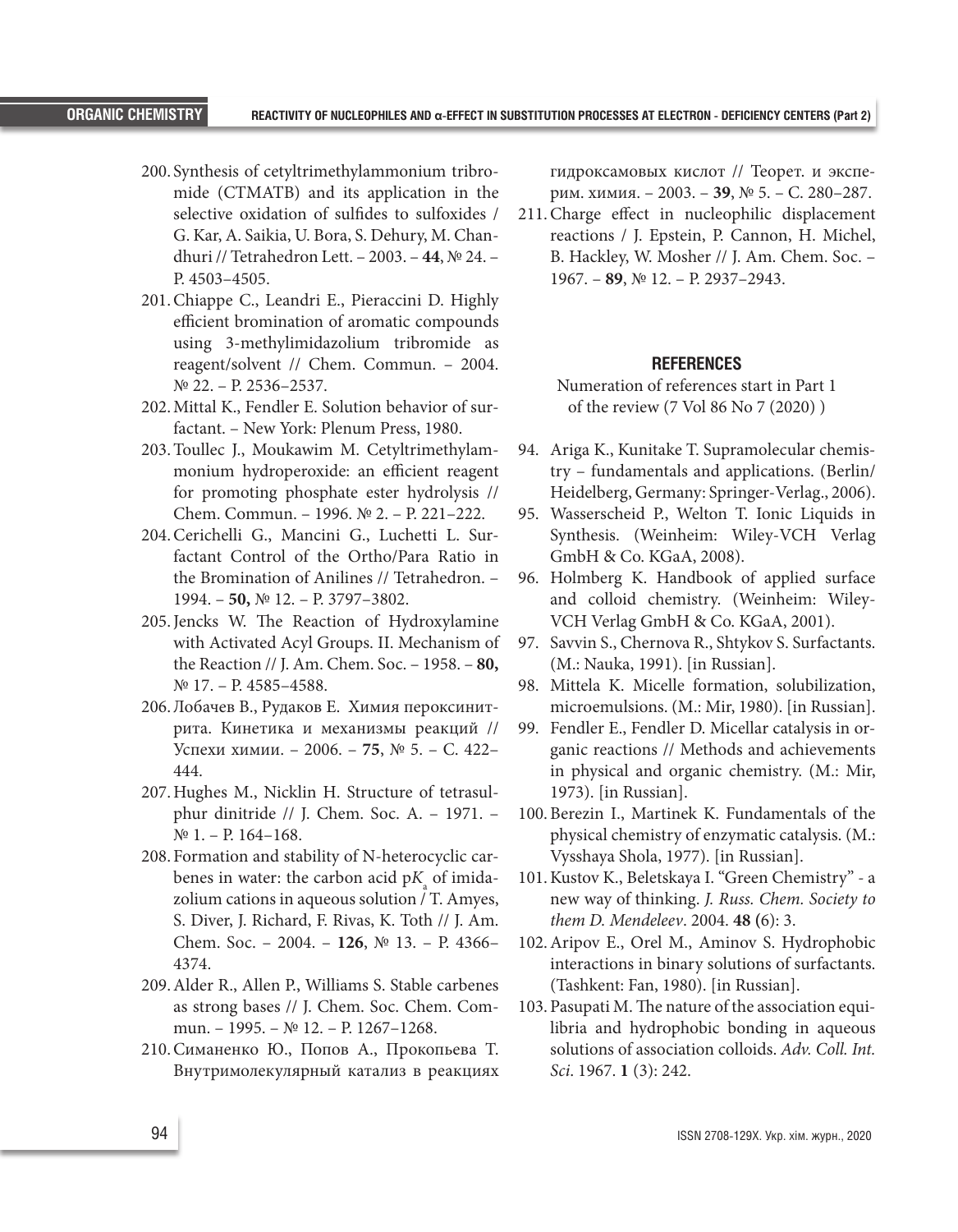- 200. Synthesis of cetyltrimethylammonium tribromide (CTMATB) and its application in the selective oxidation of sulfides to sulfoxides / G. Kar, А. Saikia, U. Bora, S. Dehury, М. Chandhuri // Tetrahedron Lett. – 2003. – **44**, № 24. – P. 4503–4505.
- 201.Chiappe C., Leandri E., Pieraccini D. Highly efficient bromination of aromatic compounds using 3-methylimidazolium tribromide as reagent/solvent // Chem. Commun. – 2004. № 22. – P. 2536–2537.
- 202.Mittal K., Fendler E. Solution behavior of surfactant. – New York: Plenum Press, 1980.
- 203.Toullec J., Moukawim M. Cetyltrimethylammonium hydroperoxide: an efficient reagent for promoting phosphate ester hydrolysis // Chem. Commun. – 1996. № 2. – P. 221–222.
- 204.Cerichelli G., Mancini G., Luchetti L. Surfactant Control of the Ortho/Para Ratio in the Bromination of Anilines // Tetrahedron. – 1994. – **50,** № 12. – P. 3797–3802.
- 205.Jencks W. The Reaction of Hydroxylamine with Activated Acyl Groups. II. Mechanism of the Reaction // J. Am. Chem. Soc. – 1958. – **80,** № 17. – P. 4585–4588.
- 206.Лобачев В., Рудаков Е. Химия пероксинитрита. Кинетика и механизмы реакций // Успехи химии. – 2006. – **75**, № 5. – С. 422– 444.
- 207.Hughes M., Nicklin H. Structure of tetrasulphur dinitride // J. Chem. Soc. A. – 1971. – № 1. – P. 164–168.
- 208. Formation and stability of N-heterocyclic carbenes in water: the carbon acid  $pK_{\!\scriptscriptstyle a}^{\phantom{\dagger}}$  of imidazolium cations in aqueous solution / Т. Amyes, S. Diver, J. Richard, F. Rivas, K. Toth // J. Am. Chem. Soc. – 2004. – **126**, № 13. – P. 4366– 4374.
- 209.Alder R., Allen P., Williams S. Stable carbenes as strong bases // J. Chem. Soc. Chem. Commun. – 1995. – № 12. – P. 1267–1268.
- 210.Симаненко Ю., Попов А., Прокопьева Т. Внутримолекулярный катализ в реакциях

гидроксамовых кислот // Теорет. и эксперим. химия. – 2003. – **39**, № 5. – С. 280–287.

211.Charge effect in nucleophilic displacement reactions / J. Epstein, Р. Cannon, Н. Michel, В. Hackley, W. Mosher // J. Am. Chem. Soc. – 1967. – **89**, № 12. – P. 2937–2943.

#### **REFERENCES**

Numeration of references start in Part 1 of the review (7 Vol 86 No 7 (2020) )

- 94. Ariga K., Kunitake T. Supramolecular chemistry – fundamentals and applications. (Berlin/ Heidelberg, Germany: Springer-Verlag., 2006).
- 95. Wasserscheid P., Welton T. Ionic Liquids in Synthesis. (Weinheim: Wiley-VCH Verlag GmbH & Co. KGaA, 2008).
- 96. Holmberg K. Handbook of applied surface and colloid chemistry. (Weinheim: Wiley-VCH Verlag GmbH & Co. KGaA, 2001).
- 97. Savvin S., Chernova R., Shtykov S. Surfactants. (М.: Nauka, 1991). [in Russian].
- 98. Mittela K. Micelle formation, solubilization, microemulsions. (М.: Mir, 1980). [in Russian].
- 99. Fendler E., Fendler D. Micellar catalysis in organic reactions // Methods and achievements in physical and organic chemistry. (М.: Mir, 1973). [in Russian].
- 100.Berezin I., Martinek K. Fundamentals of the physical chemistry of enzymatic catalysis. (М.: Vysshaya Shola, 1977). [in Russian].
- 101.Kustov K., Beletskaya I. "Green Chemistry" a new way of thinking. *J. Russ. Chem. Society to them D. Mendeleev*. 2004. **48 (**6): 3.
- 102.Aripov E., Orel M., Aminov S. Hydrophobic interactions in binary solutions of surfactants. (Tashkent: Fan, 1980). [in Russian].
- 103.Pasupati М. The nature of the association equilibria and hydrophobic bonding in aqueous solutions of association colloids. *Adv. Coll. Int. Sci*. 1967. **1** (3): 242.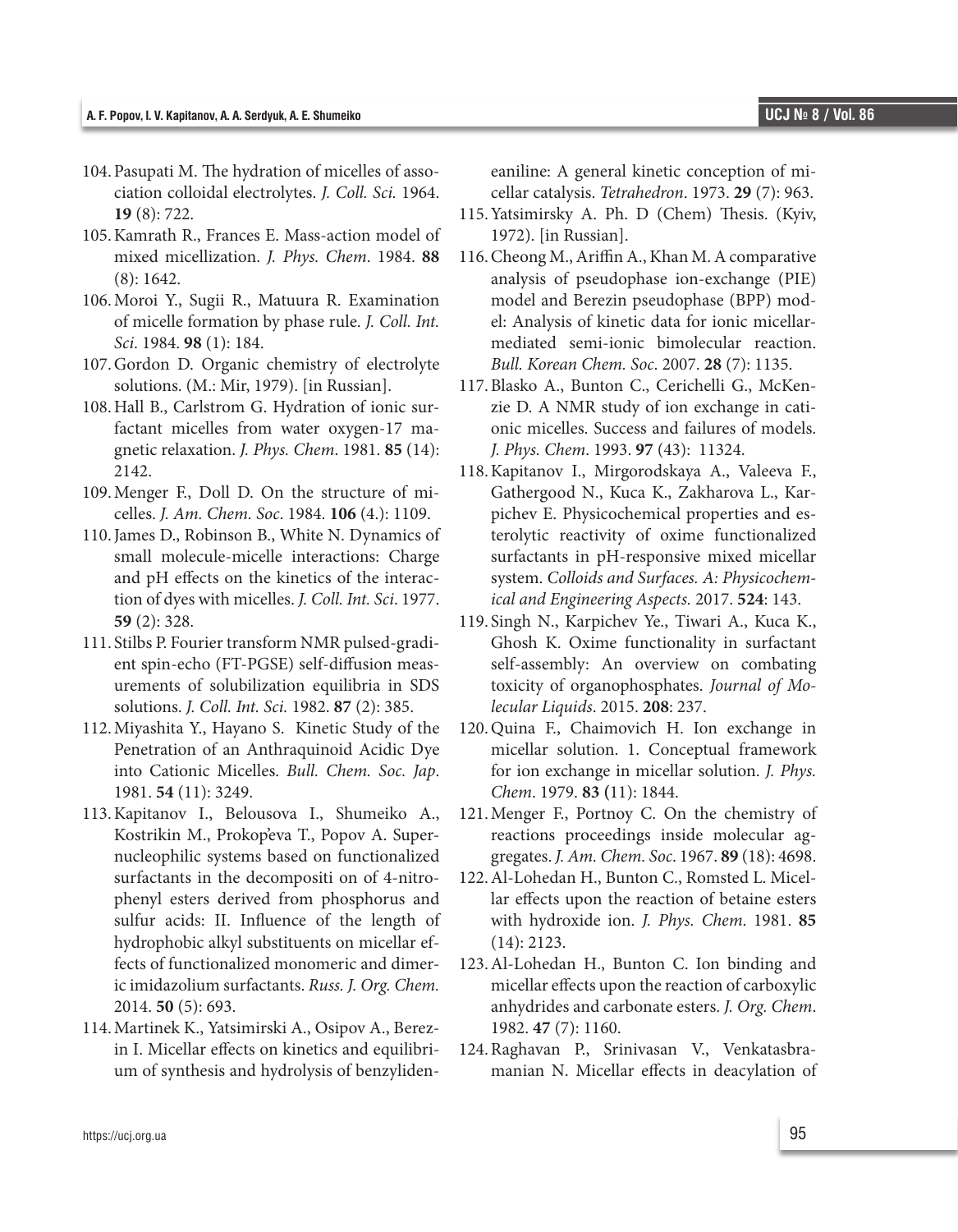- 104.Pasupati М. The hydration of micelles of association colloidal electrolytes. *J. Coll. Sci.* 1964. **19** (8): 722.
- 105.Kamrath R., Frances E. Mass-action model of mixed micellization. *J. Phys. Chem*. 1984. **88** (8): 1642.
- 106.Moroi Y., Sugii R., Matuura R. Examination of micelle formation by phase rule. *J. Coll. Int. Sci*. 1984. **98** (1): 184.
- 107.Gordon D. Organic chemistry of electrolyte solutions. (M.: Mir, 1979). [in Russian].
- 108.Hall B., Carlstrom G. Hydration of ionic surfactant micelles from water oxygen-17 magnetic relaxation. *J. Phys. Chem*. 1981. **85** (14): 2142.
- 109.Menger F., Doll D. On the structure of micelles. *J. Am. Chem. Soc*. 1984. **106** (4.): 1109.
- 110.James D., Robinson B., White N. Dynamics of small molecule-micelle interactions: Charge and pH effects on the kinetics of the interaction of dyes with micelles. *J. Coll. Int. Sci*. 1977. **59** (2): 328.
- 111. Stilbs P. Fourier transform NMR pulsed-gradient spin-echo (FT-PGSE) self-diffusion measurements of solubilization equilibria in SDS solutions. *J. Coll. Int. Sci.* 1982. **87** (2): 385.
- 112.Miyashita Y., Hayano S. Kinetic Study of the Penetration of an Anthraquinoid Acidic Dye into Cationic Micelles. *Bull. Chem. Soc. Jap*. 1981. **54** (11): 3249.
- 113.Kapitanov I., Belousova I., Shumeiko A., Kostrikin M., Prokop'eva T., Popov A. Supernucleophilic systems based on functionalized surfactants in the decompositi on of 4-nitrophenyl esters derived from phosphorus and sulfur acids: II. Influence of the length of hydrophobic alkyl substituents on micellar effects of functionalized monomeric and dimeric imidazolium surfactants. *Russ. J. Org. Chem.* 2014. **50** (5): 693.
- 114.Martinek K., Yatsimirski A., Osipov A., Berezin I. Micellar effects on kinetics and equilibrium of synthesis and hydrolysis of benzyliden-

eaniline: A general kinetic conception of micellar catalysis. *Tetrahedron*. 1973. **29** (7): 963.

- 115.Yatsimirsky A. Ph. D (Chem) Thesis. (Kyiv, 1972). [in Russian].
- 116.Cheong M., Ariffin A., Khan M. A comparative analysis of pseudophase ion-exchange (PIE) model and Berezin pseudophase (BPP) model: Analysis of kinetic data for ionic micellarmediated semi-ionic bimolecular reaction. *Bull. Korean Chem. Soc*. 2007. **28** (7): 1135.
- 117.Blasko A., Bunton C., Cerichelli G., McKenzie D. A NMR study of ion exchange in cationic micelles. Success and failures of models. *J. Phys. Chem*. 1993. **97** (43): 11324.
- 118.Kapitanov I., Mirgorodskaya A., Valeeva F., Gathergood N., Kuca K., Zakharova L., Karpichev E. Physicochemical properties and esterolytic reactivity of oxime functionalized surfactants in pH-responsive mixed micellar system. *Colloids and Surfaces. A: Physicochemical and Engineering Aspects.* 2017. **524**: 143.
- 119. Singh N., Karpichev Ye., Tiwari A., Kuca K., Ghosh K. Oxime functionality in surfactant self-assembly: An overview on combating toxicity of organophosphates. *Journal of Molecular Liquids*. 2015. **208**: 237.
- 120.Quina F., Chaimovich H. Ion exchange in micellar solution. 1. Conceptual framework for ion exchange in micellar solution. *J. Phys. Chem*. 1979. **83 (**11): 1844.
- 121.Menger F., Portnoy С. On the chemistry of reactions proceedings inside molecular aggregates. *J. Am. Chem. Soc*. 1967. **89** (18): 4698.
- 122.Al-Lohedan H., Bunton C., Romsted L. Micellar effects upon the reaction of betaine esters with hydroxide ion. *J. Phys. Chem*. 1981. **85** (14): 2123.
- 123.Al-Lohedan H., Bunton C. Ion binding and micellar effects upon the reaction of carboxylic anhydrides and carbonate esters. *J. Org. Chem*. 1982. **47** (7): 1160.
- 124.Raghavan P., Srinivasan V., Venkatasbramanian N. Micellar effects in deacylation of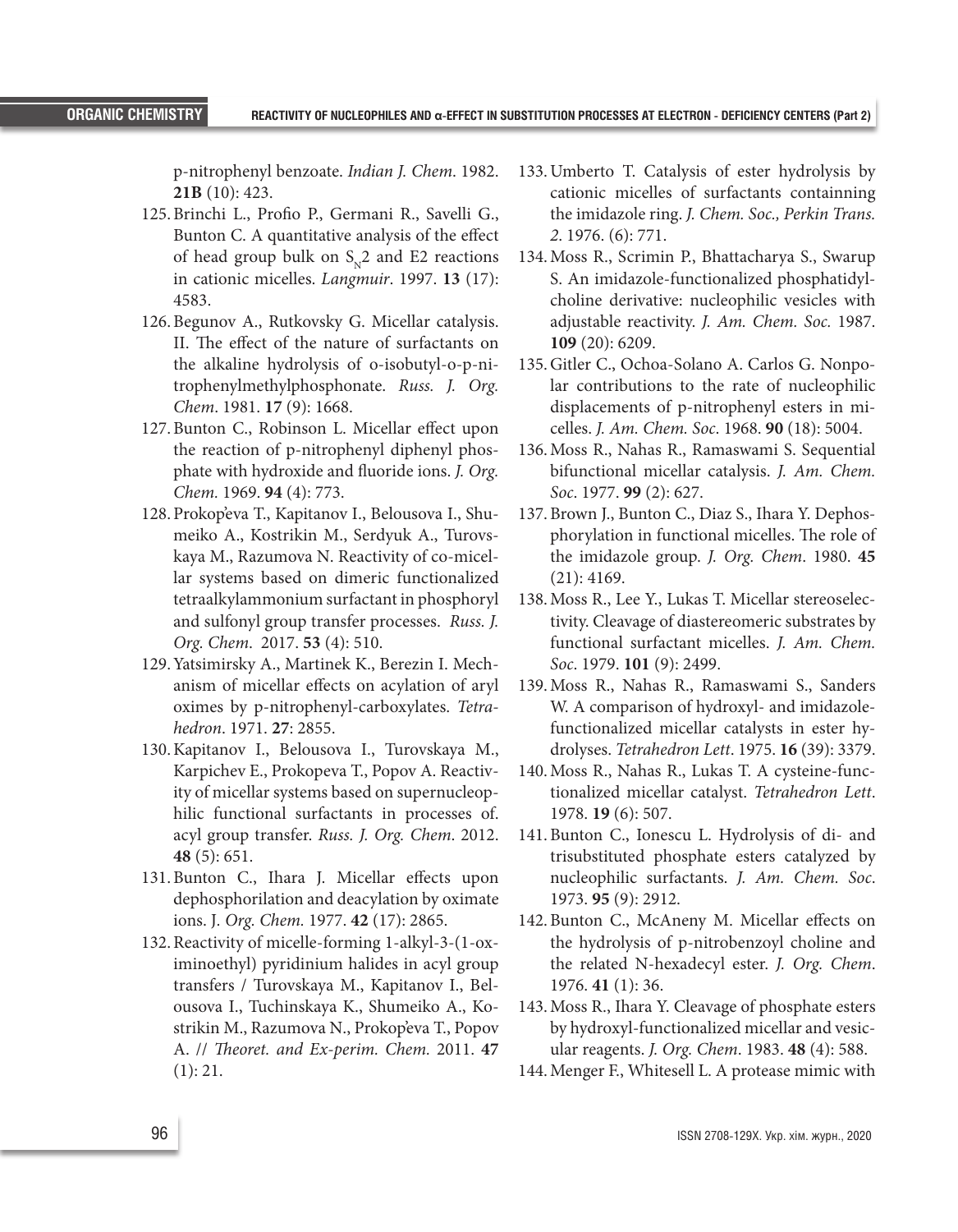p-nitrophenyl benzoate. *Indian J. Chem*. 1982. **21B** (10): 423.

- 125.Brinchi L., Profio P., Germani R., Savelli G., Bunton C. A quantitative analysis of the effect of head group bulk on  $S_N^2$  and E2 reactions in cationic micelles. *Langmuir*. 1997. **13** (17): 4583.
- 126.Begunov A., Rutkovsky G. Micellar catalysis. II. The effect of the nature of surfactants on the alkaline hydrolysis of o-isobutyl-o-p-nitrophenylmethylphosphonate. *Russ. J. Org. Chem*. 1981. **17** (9): 1668.
- 127.Bunton C., Robinson L. Micellar effect upon the reaction of p-nitrophenyl diphenyl phosphate with hydroxide and fluoride ions. *J. Org. Chem.* 1969. **94** (4): 773.
- 128.Prokop'eva T., Kapitanov I., Belousova I., Shumeiko A., Kostrikin M., Serdyuk A., Turovskaya M., Razumova N. Reactivity of co-micellar systems based on dimeric functionalized tetraalkylammonium surfactant in phosphoryl and sulfonyl group transfer processes. *Russ. J. Org. Chem*. 2017. **53** (4): 510.
- 129.Yatsimirsky A., Martinek K., Berezin I. Mechanism of micellar effects on acylation of aryl oximes by p-nitrophenyl-carboxylates. *Tetrahedron*. 1971. **27**: 2855.
- 130.Kapitanov I., Belousova I., Turovskaya M., Karpichev E., Prokopeva T., Popov A. Reactivity of micellar systems based on supernucleophilic functional surfactants in processes of. acyl group transfer. *Russ. J. Org. Chem*. 2012. **48** (5): 651.
- 131.Bunton C., Ihara J. Micellar effects upon dephosphorilation and deacylation by oximate ions. J*. Org. Chem.* 1977. **42** (17): 2865.
- 132.Reactivity of micelle-forming 1-alkyl-3-(1-oximinoethyl) pyridinium halides in acyl group transfers / Turovskaya M., Kapitanov I., Belousova I., Tuchinskaya K., Shumeiko A., Kostrikin M., Razumova N., Prokop'eva T., Popov A. // *Theoret. and Ex-perim. Chem.* 2011. **47** (1): 21.
- 133.Umberto T. Catalysis of ester hydrolysis by cationic micelles of surfactants containning the imidazole ring. *J. Chem. Soc., Perkin Trans. 2*. 1976. (6): 771.
- 134.Moss R., Scrimin P., Bhattacharya S., Swarup S. An imidazole-functionalized phosphatidylcholine derivative: nucleophilic vesicles with adjustable reactivity. *J. Am. Chem. Soc.* 1987. **109** (20): 6209.
- 135.Gitler C., Ochoa-Solano A. Carlos G. Nonpolar contributions to the rate of nucleophilic displacements of p-nitrophenyl esters in micelles. *J. Am. Chem. Soc*. 1968. **90** (18): 5004.
- 136.Moss R., Nahas R., Ramaswami S. Sequential bifunctional micellar catalysis. *J. Am. Chem. Soc*. 1977. **99** (2): 627.
- 137.Brown J., Bunton C., Diaz S., Ihara Y. Dephosphorylation in functional micelles. The role of the imidazole group. *J. Org. Chem*. 1980. **45** (21): 4169.
- 138.Moss R., Lee Y., Lukas T. Micellar stereoselectivity. Cleavage of diastereomeric substrates by functional surfactant micelles. *J. Am. Chem. Soc*. 1979. **101** (9): 2499.
- 139.Moss R., Nahas R., Ramaswami S., Sanders W. A comparison of hydroxyl- and imidazolefunctionalized micellar catalysts in ester hydrolyses. *Tetrahedron Lett*. 1975. **16** (39): 3379.
- 140.Moss R., Nahas R., Lukas T. A cysteine-functionalized micellar catalyst. *Tetrahedron Lett*. 1978. **19** (6): 507.
- 141.Bunton C., Ionescu L. Hydrolysis of di- and trisubstituted phosphate esters catalyzed by nucleophilic surfactants. *J. Am. Chem. Soc*. 1973. **95** (9): 2912.
- 142.Bunton C., McAneny M. Micellar effects on the hydrolysis of p-nitrobenzoyl choline and the related N-hexadecyl ester. *J. Org. Chem*. 1976. **41** (1): 36.
- 143.Moss R., Ihara Y. Cleavage of phosphate esters by hydroxyl-functionalized micellar and vesicular reagents. *J. Org. Chem*. 1983. **48** (4): 588.
- 144.Menger F., Whitesell L. A protease mimic with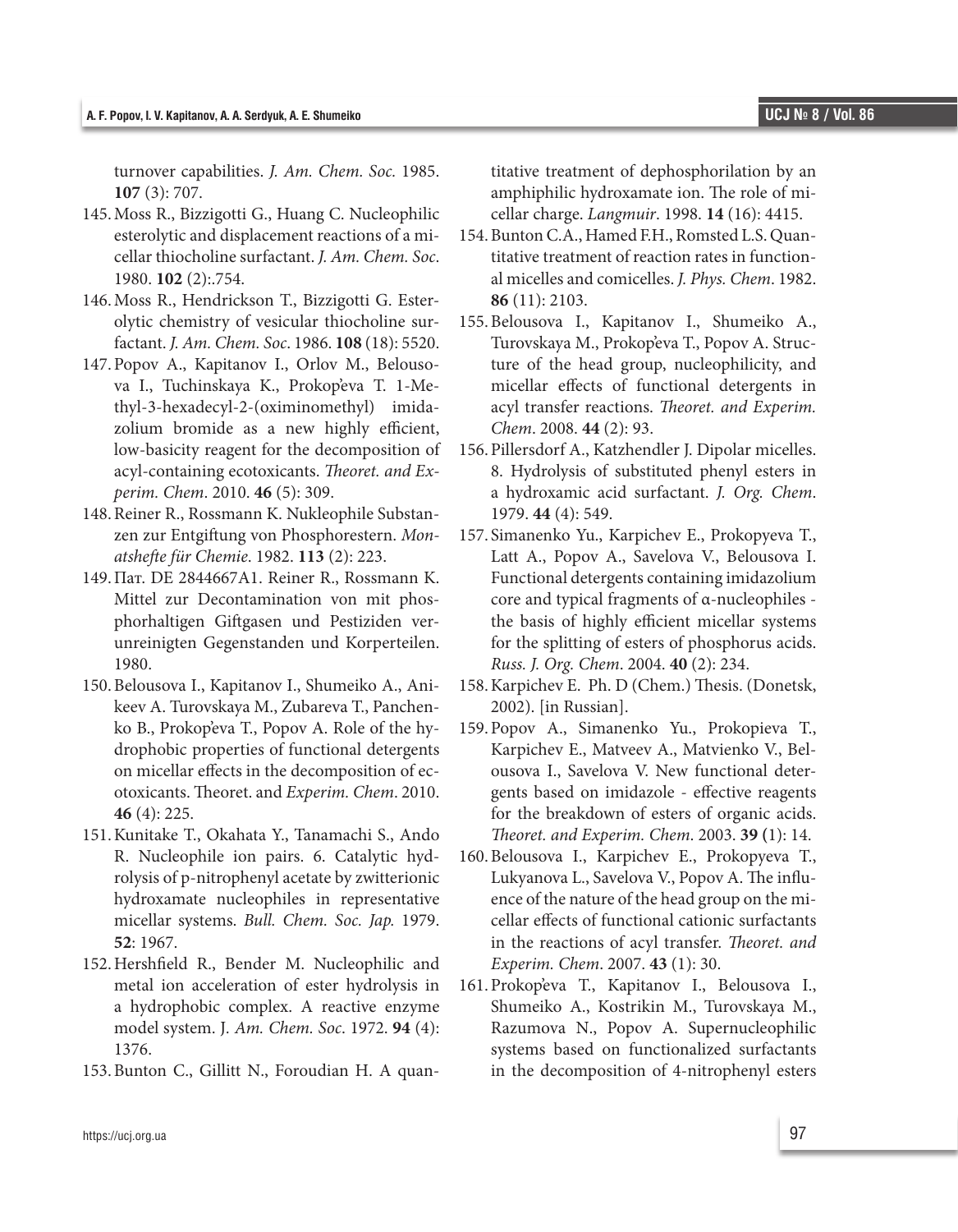turnover capabilities. *J. Am. Chem. Soc.* 1985. **107** (3): 707.

- 145.Moss R., Bizzigotti G., Huang C. Nucleophilic esterolytic and displacement reactions of a micellar thiocholine surfactant. *J. Am. Chem. Soc*. 1980. **102** (2):.754.
- 146.Moss R., Hendrickson T., Bizzigotti G. Esterolytic chemistry of vesicular thiocholine surfactant. *J. Am. Chem. Soc*. 1986. **108** (18): 5520.
- 147.Popov A., Kapitanov I., Orlov M., Belousova I., Tuchinskaya K., Prokop'eva T. 1-Methyl-3-hexadecyl-2-(oximinomethyl) imidazolium bromide as a new highly efficient, low-basicity reagent for the decomposition of acyl-containing ecotoxicants. *Theoret. and Experim. Chem*. 2010. **46** (5): 309.
- 148.Reiner R., Rossmann K. Nukleophile Substanzen zur Entgiftung von Phosphorestern. *Monatshefte für Chemie*. 1982. **113** (2): 223.
- 149.Пат. DE 2844667A1. Reiner R., Rossmann K. Mittel zur Decontamination von mit phosphorhaltigen Giftgasen und Pestiziden verunreinigten Gegenstanden und Korperteilen. 1980.
- 150.Belousova I., Kapitanov I., Shumeiko A., Anikeev A. Turovskaya M., Zubareva T., Panchenko B., Prokop'eva T., Popov A. Role of the hydrophobic properties of functional detergents on micellar effects in the decomposition of ecotoxicants. Theoret. and *Experim. Chem*. 2010. **46** (4): 225.
- 151.Kunitake T., Okahata Y., Tanamachi S., Ando R. Nucleophile ion pairs. 6. Catalytic hydrolysis of p-nitrophenyl acetate by zwitterionic hydroxamate nucleophiles in representative micellar systems. *Bull. Chem. Soc. Jap.* 1979. **52**: 1967.
- 152.Hershfield R., Bender M. Nucleophilic and metal ion acceleration of ester hydrolysis in a hydrophobic complex. A reactive enzyme model system. J*. Am. Chem. Soc*. 1972. **94** (4): 1376.
- 153.Bunton C., Gillitt N., Foroudian H. A quan-

titative treatment of dephosphorilation by an amphiphilic hydroxamate ion. The role of micellar charge. *Langmuir*. 1998. **14** (16): 4415.

- 154.Bunton C.A., Hamed F.H., Romsted L.S. Quantitative treatment of reaction rates in functional micelles and comicelles. *J. Phys. Chem*. 1982. **86** (11): 2103.
- 155.Belousova I., Kapitanov I., Shumeiko A., Turovskaya M., Prokop'eva T., Popov A. Structure of the head group, nucleophilicity, and micellar effects of functional detergents in acyl transfer reactions. *Theoret. and Experim. Chem*. 2008. **44** (2): 93.
- 156.Pillersdorf A., Katzhendler J. Dipolar micelles. 8. Hydrolysis of substituted phenyl esters in a hydroxamic acid surfactant. *J. Org. Chem*. 1979. **44** (4): 549.
- 157. Simanenko Yu., Karpichev E., Prokopyeva T., Latt A., Popov A., Savelova V., Belousova I. Functional detergents containing imidazolium core and typical fragments of α-nucleophiles the basis of highly efficient micellar systems for the splitting of esters of phosphorus acids. *Russ. J. Org. Chem*. 2004. **40** (2): 234.
- 158.Karpichev E. Ph. D (Chem.) Thesis. (Donetsk, 2002). [in Russian].
- 159.Popov A., Simanenko Yu., Prokopieva T., Karpichev E., Matveev A., Matvienko V., Belousova I., Savelova V. New functional detergents based on imidazole - effective reagents for the breakdown of esters of organic acids. *Theoret. and Experim. Chem*. 2003. **39 (**1): 14.
- 160.Belousova I., Karpichev E., Prokopyeva T., Lukyanova L., Savelova V., Popov A. The influence of the nature of the head group on the micellar effects of functional cationic surfactants in the reactions of acyl transfer. *Theoret. and Experim. Chem*. 2007. **43** (1): 30.
- 161.Prokop'eva T., Kapitanov I., Belousova I., Shumeiko A., Kostrikin M., Turovskaya M., Razumova N., Popov A. Supernucleophilic systems based on functionalized surfactants in the decomposition of 4-nitrophenyl esters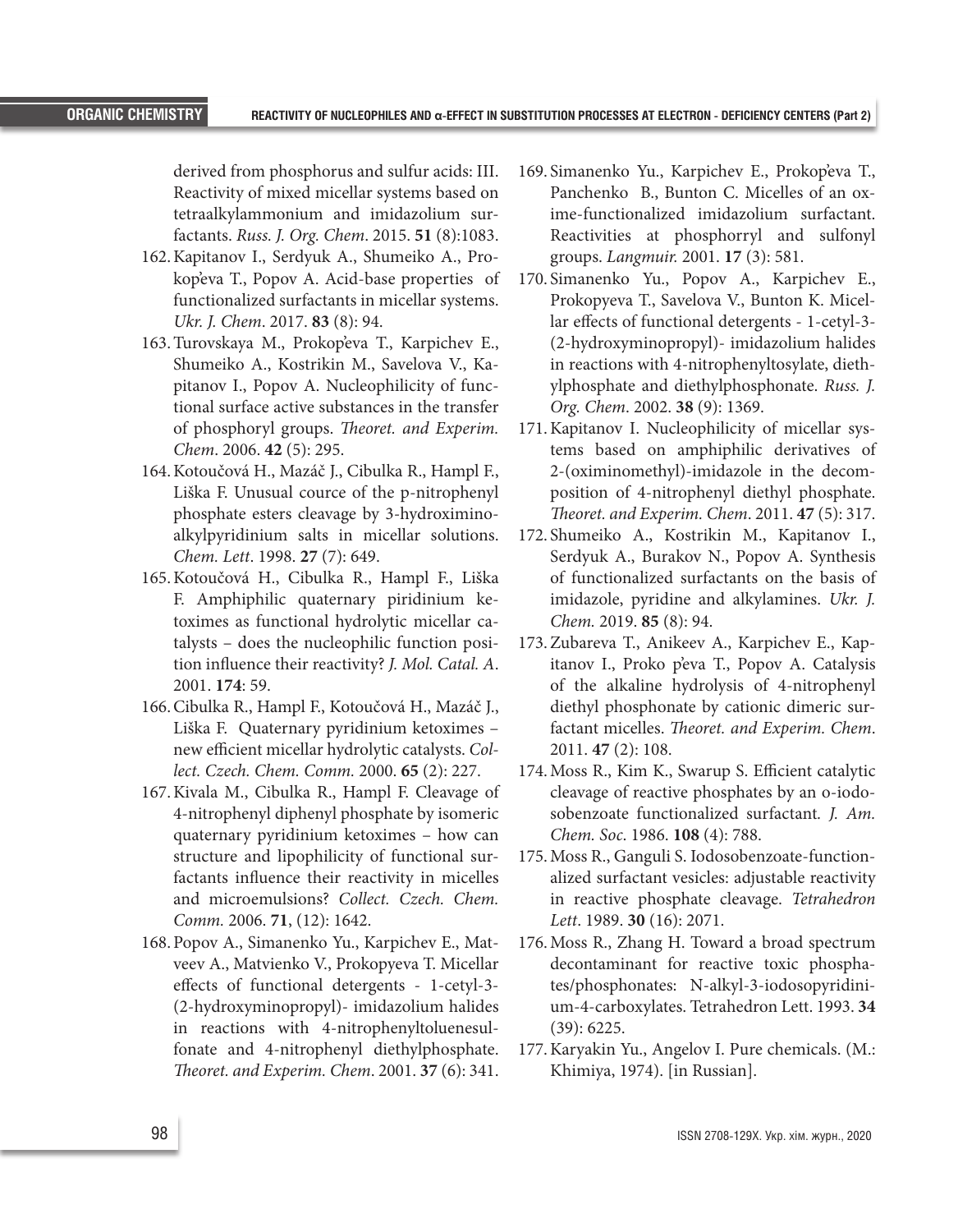derived from phosphorus and sulfur acids: III. Reactivity of mixed micellar systems based on tetraalkylammonium and imidazolium surfactants. *Russ. J. Org. Chem*. 2015. **51** (8):1083.

- 162.Kapitanov I., Serdyuk A., Shumeiko A., Prokop'eva T., Popov A. Acid-base properties of functionalized surfactants in micellar systems. *Ukr. J. Chem*. 2017. **83** (8): 94.
- 163.Turovskaya M., Prokop'eva T., Karpichev E., Shumeiko A., Kostrikin M., Savelova V., Kapitanov I., Popov A. Nucleophilicity of functional surface active substances in the transfer of phosphoryl groups. *Theoret. and Experim. Chem*. 2006. **42** (5): 295.
- 164.Kotoučová H., Mazáč J., Cibulka R., Hampl F., Liška F. Unusual cource of the p-nitrophenyl phosphate esters cleavage by 3-hydroximinoalkylpyridinium salts in micellar solutions. *Chem. Lett*. 1998. **27** (7): 649.
- 165.Kotoučová H., Cibulka R., Hampl F., Liška F. Amphiphilic quaternary piridinium ketoximes as functional hydrolytic micellar catalysts – does the nucleophilic function position influence their reactivity? *J. Mol. Catal. A*. 2001. **174**: 59.
- 166.Cibulka R., Hampl F., Kotoučová H., Mazáč J., Liška F. Quaternary pyridinium ketoximes – new efficient micellar hydrolytic catalysts. *Collect. Czech. Chem. Comm.* 2000. **65** (2): 227.
- 167.Kivala M., Cibulka R., Hampl F. Cleavage of 4-nitrophenyl diphenyl phosphate by isomeric quaternary pyridinium ketoximes – how can structure and lipophilicity of functional surfactants influence their reactivity in micelles and microemulsions? *Collect. Czech. Chem. Comm.* 2006. **71**, (12): 1642.
- 168.Popov A., Simanenko Yu., Karpichev E., Matveev A., Matvienko V., Prokopyeva T. Micellar effects of functional detergents - 1-cetyl-3- (2-hydroxyminopropyl)- imidazolium halides in reactions with 4-nitrophenyltoluenesulfonate and 4-nitrophenyl diethylphosphate. *Theoret. and Experim. Chem*. 2001. **37** (6): 341.
- 169. Simanenko Yu., Karpichev E., Prokop'eva T., Panchenko B., Bunton C. Micelles of an oxime-functionalized imidazolium surfactant. Reactivities at phosphorryl and sulfonyl groups. *Langmuir.* 2001. **17** (3): 581.
- 170. Simanenko Yu., Popov A., Karpichev E., Prokopyeva T., Savelova V., Bunton K. Micellar effects of functional detergents - 1-cetyl-3- (2-hydroxyminopropyl)- imidazolium halides in reactions with 4-nitrophenyltosylate, diethylphosphate and diethylphosphonate. *Russ. J. Org. Chem*. 2002. **38** (9): 1369.
- 171.Kapitanov I. Nucleophilicity of micellar systems based on amphiphilic derivatives of 2-(oximinomethyl)-imidazole in the decomposition of 4-nitrophenyl diethyl phosphate. *Theoret. and Experim. Chem*. 2011. **47** (5): 317.
- 172. Shumeiko A., Kostrikin M., Kapitanov I., Serdyuk A., Burakov N., Popov A. Synthesis of functionalized surfactants on the basis of imidazole, pyridine and alkylamines. *Ukr. J. Chem.* 2019. **85** (8): 94.
- 173.Zubareva T., Anikeev A., Karpichev E., Kapitanov I., Proko p'eva T., Popov A. Catalysis of the alkaline hydrolysis of 4-nitrophenyl diethyl phosphonate by cationic dimeric surfactant micelles. *Theoret. and Experim. Chem*. 2011. **47** (2): 108.
- 174.Moss R., Kim K., Swarup S. Efficient catalytic cleavage of reactive phosphates by an o-iodosobenzoate functionalized surfactant*. J. Am. Chem. Soc*. 1986. **108** (4): 788.
- 175.Moss R., Ganguli S. Iodosobenzoate-functionalized surfactant vesicles: adjustable reactivity in reactive phosphate cleavage. *Tetrahedron Lett*. 1989. **30** (16): 2071.
- 176.Moss R., Zhang H. Toward a broad spectrum decontaminant for reactive toxic phosphates/phosphonates: N-alkyl-3-iodosopyridinium-4-carboxylates. Tetrahedron Lett. 1993. **34** (39): 6225.
- 177.Karyakin Yu., Angelov I. Pure chemicals. (М.: Khimiya, 1974). [in Russian].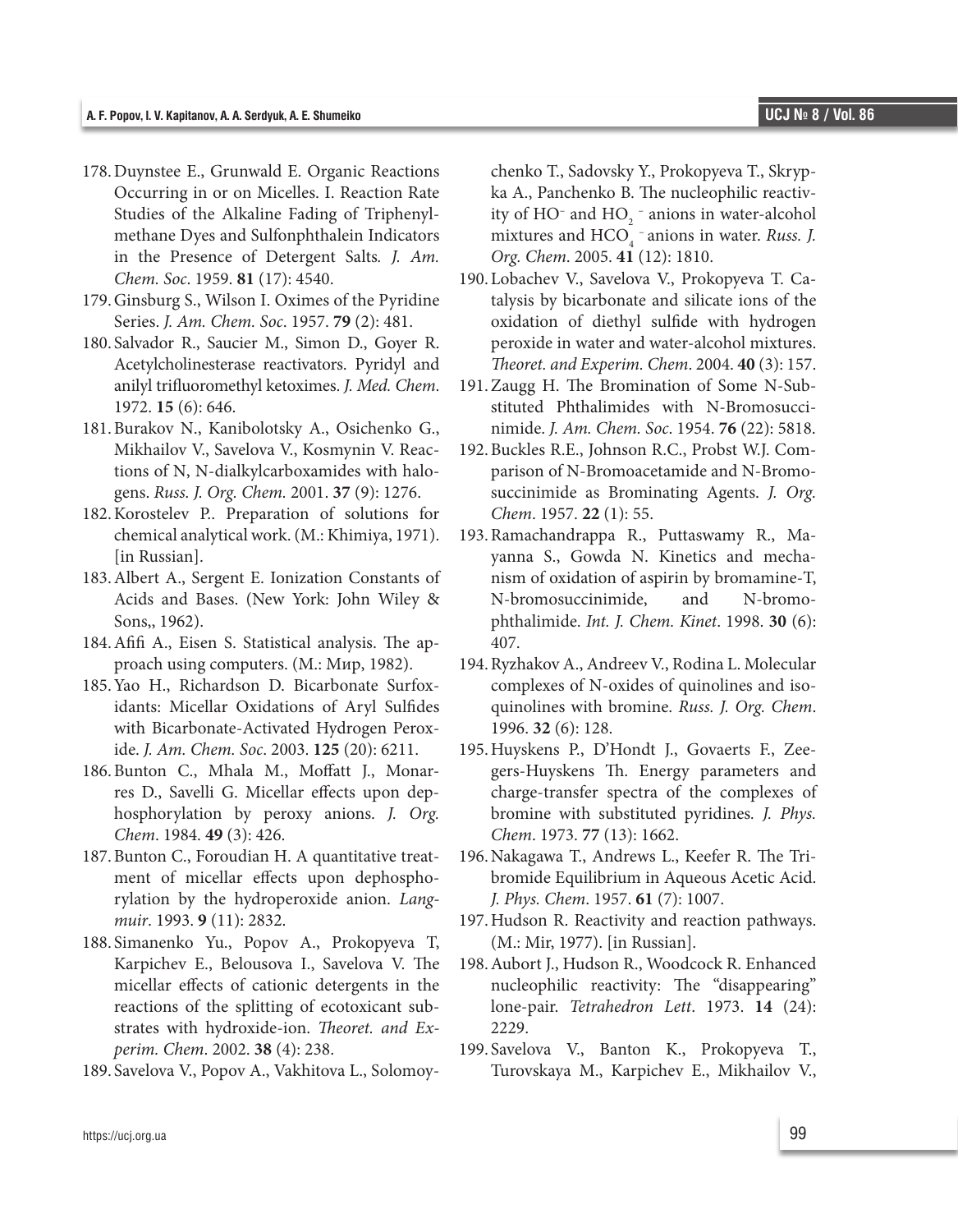- 178.Duynstee E., Grunwald E. Organic Reactions Occurring in or on Micelles. I. Reaction Rate Studies of the Alkaline Fading of Triphenylmethane Dyes and Sulfonphthalein Indicators in the Presence of Detergent Salts*. J. Am. Chem. Soc*. 1959. **81** (17): 4540.
- 179.Ginsburg S., Wilson I. Oximes of the Pyridine Series. *J. Am. Chem. Soc*. 1957. **79** (2): 481.
- 180. Salvador R., Saucier M., Simon D., Goyer R. Acetylcholinesterase reactivators. Pyridyl and anilyl trifluoromethyl ketoximes. *J. Med. Chem*. 1972. **15** (6): 646.
- 181.Burakov N., Kanibolotsky A., Osichenko G., Mikhailov V., Savelova V., Kosmynin V. Reactions of N, N-dialkylcarboxamides with halogens. *Russ. J. Org. Chem.* 2001. **37** (9): 1276.
- 182.Korostelev P.. Preparation of solutions for chemical analytical work. (М.: Khimiya, 1971). [in Russian].
- 183.Albert A., Sergent E. Ionization Constants of Acids and Bases. (New York: John Wiley & Sons,, 1962).
- 184.Afifi A., Eisen S. Statistical analysis. The approach using computers. (М.: Мир, 1982).
- 185.Yao H., Richardson D. Bicarbonate Surfoxidants: Micellar Oxidations of Aryl Sulfides with Bicarbonate-Activated Hydrogen Peroxide. *J. Am. Chem. Soc*. 2003. **125** (20): 6211.
- 186.Bunton C., Mhala M., Moffatt J., Monarres D., Savelli G. Micellar effects upon dephosphorylation by peroxy anions. *J. Org. Chem*. 1984. **49** (3): 426.
- 187.Bunton C., Foroudian H. A quantitative treatment of micellar effects upon dephosphorylation by the hydroperoxide anion. *Langmuir*. 1993. **9** (11): 2832.
- 188. Simanenko Yu., Popov A., Prokopyeva T, Karpichev E., Belousova I., Savelova V. The micellar effects of cationic detergents in the reactions of the splitting of ecotoxicant substrates with hydroxide-ion. *Theoret. and Experim. Chem*. 2002. **38** (4): 238.
- 189. Savelova V., Popov A., Vakhitova L., Solomoy-

chenko T., Sadovsky Y., Prokopyeva T., Skrypka A., Panchenko B. The nucleophilic reactivity of  $HO^-$  and  $HO_2^-$  anions in water-alcohol mixtures and HCO<sub>4</sub> anions in water. *Russ. J. Org. Chem*. 2005. **41** (12): 1810.

- 190. Lobachev V., Savelova V., Prokopyeva T. Catalysis by bicarbonate and silicate ions of the oxidation of diethyl sulfide with hydrogen peroxide in water and water-alcohol mixtures. *Theoret. and Experim. Chem*. 2004. **40** (3): 157.
- 191.Zaugg H. The Bromination of Some N-Substituted Phthalimides with N-Bromosuccinimide. *J. Am. Chem. Soc*. 1954. **76** (22): 5818.
- 192.Buckles R.E., Johnson R.C., Probst W.J. Comparison of N-Bromoacetamide and N-Bromosuccinimide as Brominating Agents. *J. Org. Chem*. 1957. **22** (1): 55.
- 193.Ramachandrappa R., Puttaswamy R., Mayanna S., Gowda N. Kinetics and mechanism of oxidation of aspirin by bromamine-T, N-bromosuccinimide, and N-bromophthalimide. *Int. J. Chem. Kinet*. 1998. **30** (6): 407.
- 194.Ryzhakov A., Andreev V., Rodina L. Molecular complexes of N-oxides of quinolines and isoquinolines with bromine. *Russ. J. Org. Chem*. 1996. **32** (6): 128.
- 195.Huyskens P., D'Hondt J., Govaerts F., Zeegers-Huyskens Th. Energy parameters and charge-transfer spectra of the complexes of bromine with substituted pyridines*. J. Phys. Chem*. 1973. **77** (13): 1662.
- 196.Nakagawa T., Andrews L., Keefer R. The Tribromide Equilibrium in Aqueous Acetic Acid. *J. Phys. Chem*. 1957. **61** (7): 1007.
- 197.Hudson R. Reactivity and reaction pathways. (М.: Mir, 1977). [in Russian].
- 198.Aubort J., Hudson R., Woodcock R. Enhanced nucleophilic reactivity: The "disappearing" lone-pair. *Tetrahedron Lett*. 1973. **14** (24): 2229.
- 199. Savelova V., Banton K., Prokopyeva T., Turovskaya M., Karpichev E., Mikhailov V.,